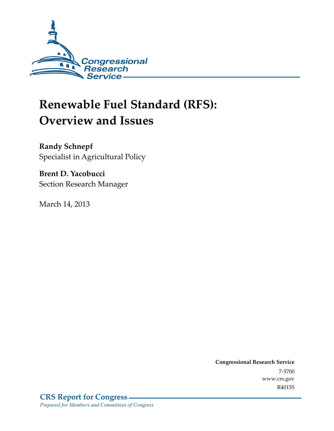

# **Renewable Fuel Standard (RFS): Overview and Issues**

**Randy Schnepf**  Specialist in Agricultural Policy

**Brent D. Yacobucci**  Section Research Manager

March 14, 2013

**Congressional Research Service**  7-5700 www.crs.gov R40155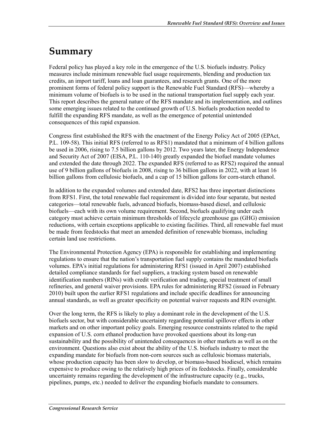# **Summary**

Federal policy has played a key role in the emergence of the U.S. biofuels industry. Policy measures include minimum renewable fuel usage requirements, blending and production tax credits, an import tariff, loans and loan guarantees, and research grants. One of the more prominent forms of federal policy support is the Renewable Fuel Standard (RFS)—whereby a minimum volume of biofuels is to be used in the national transportation fuel supply each year. This report describes the general nature of the RFS mandate and its implementation, and outlines some emerging issues related to the continued growth of U.S. biofuels production needed to fulfill the expanding RFS mandate, as well as the emergence of potential unintended consequences of this rapid expansion.

Congress first established the RFS with the enactment of the Energy Policy Act of 2005 (EPAct, P.L. 109-58). This initial RFS (referred to as RFS1) mandated that a minimum of 4 billion gallons be used in 2006, rising to 7.5 billion gallons by 2012. Two years later, the Energy Independence and Security Act of 2007 (EISA, P.L. 110-140) greatly expanded the biofuel mandate volumes and extended the date through 2022. The expanded RFS (referred to as RFS2) required the annual use of 9 billion gallons of biofuels in 2008, rising to 36 billion gallons in 2022, with at least 16 billion gallons from cellulosic biofuels, and a cap of 15 billion gallons for corn-starch ethanol.

In addition to the expanded volumes and extended date, RFS2 has three important distinctions from RFS1. First, the total renewable fuel requirement is divided into four separate, but nested categories—total renewable fuels, advanced biofuels, biomass-based diesel, and cellulosic biofuels—each with its own volume requirement. Second, biofuels qualifying under each category must achieve certain minimum thresholds of lifecycle greenhouse gas (GHG) emission reductions, with certain exceptions applicable to existing facilities. Third, all renewable fuel must be made from feedstocks that meet an amended definition of renewable biomass, including certain land use restrictions.

The Environmental Protection Agency (EPA) is responsible for establishing and implementing regulations to ensure that the nation's transportation fuel supply contains the mandated biofuels volumes. EPA's initial regulations for administering RFS1 (issued in April 2007) established detailed compliance standards for fuel suppliers, a tracking system based on renewable identification numbers (RINs) with credit verification and trading, special treatment of small refineries, and general waiver provisions. EPA rules for administering RFS2 (issued in February 2010) built upon the earlier RFS1 regulations and include specific deadlines for announcing annual standards, as well as greater specificity on potential waiver requests and RIN oversight.

Over the long term, the RFS is likely to play a dominant role in the development of the U.S. biofuels sector, but with considerable uncertainty regarding potential spillover effects in other markets and on other important policy goals. Emerging resource constraints related to the rapid expansion of U.S. corn ethanol production have provoked questions about its long-run sustainability and the possibility of unintended consequences in other markets as well as on the environment. Questions also exist about the ability of the U.S. biofuels industry to meet the expanding mandate for biofuels from non-corn sources such as cellulosic biomass materials, whose production capacity has been slow to develop, or biomass-based biodiesel, which remains expensive to produce owing to the relatively high prices of its feedstocks. Finally, considerable uncertainty remains regarding the development of the infrastructure capacity (e.g., trucks, pipelines, pumps, etc.) needed to deliver the expanding biofuels mandate to consumers.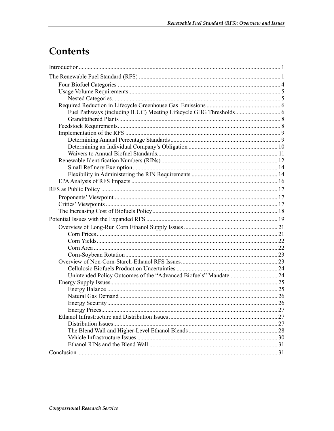# Contents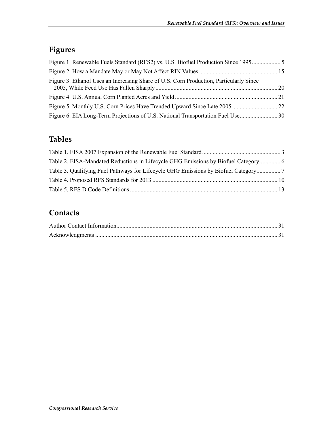## **Figures**

| Figure 1. Renewable Fuels Standard (RFS2) vs. U.S. Biofuel Production Since 1995       |  |
|----------------------------------------------------------------------------------------|--|
|                                                                                        |  |
| Figure 3. Ethanol Uses an Increasing Share of U.S. Corn Production, Particularly Since |  |
|                                                                                        |  |
|                                                                                        |  |
|                                                                                        |  |

## **Tables**

| Table 3. Qualifying Fuel Pathways for Lifecycle GHG Emissions by Biofuel Category |  |
|-----------------------------------------------------------------------------------|--|
|                                                                                   |  |
|                                                                                   |  |

## **Contacts**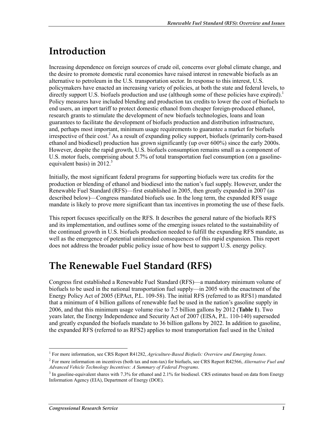# **Introduction**

Increasing dependence on foreign sources of crude oil, concerns over global climate change, and the desire to promote domestic rural economies have raised interest in renewable biofuels as an alternative to petroleum in the U.S. transportation sector. In response to this interest, U.S. policymakers have enacted an increasing variety of policies, at both the state and federal levels, to directly support U.S. biofuels production and use (although some of these policies have expired).<sup>1</sup> Policy measures have included blending and production tax credits to lower the cost of biofuels to end users, an import tariff to protect domestic ethanol from cheaper foreign-produced ethanol, research grants to stimulate the development of new biofuels technologies, loans and loan guarantees to facilitate the development of biofuels production and distribution infrastructure, and, perhaps most important, minimum usage requirements to guarantee a market for biofuels irrespective of their cost.<sup>2</sup> As a result of expanding policy support, biofuels (primarily corn-based ethanol and biodiesel) production has grown significantly (up over 600%) since the early 2000s. However, despite the rapid growth, U.S. biofuels consumption remains small as a component of U.S. motor fuels, comprising about 5.7% of total transportation fuel consumption (on a gasolineequivalent basis) in  $2012<sup>3</sup>$ 

Initially, the most significant federal programs for supporting biofuels were tax credits for the production or blending of ethanol and biodiesel into the nation's fuel supply. However, under the Renewable Fuel Standard (RFS)—first established in 2005, then greatly expanded in 2007 (as described below)—Congress mandated biofuels use. In the long term, the expanded RFS usage mandate is likely to prove more significant than tax incentives in promoting the use of these fuels.

This report focuses specifically on the RFS. It describes the general nature of the biofuels RFS and its implementation, and outlines some of the emerging issues related to the sustainability of the continued growth in U.S. biofuels production needed to fulfill the expanding RFS mandate, as well as the emergence of potential unintended consequences of this rapid expansion. This report does not address the broader public policy issue of how best to support U.S. energy policy.

# **The Renewable Fuel Standard (RFS)**

Congress first established a Renewable Fuel Standard (RFS)—a mandatory minimum volume of biofuels to be used in the national transportation fuel supply—in 2005 with the enactment of the Energy Policy Act of 2005 (EPAct, P.L. 109-58). The initial RFS (referred to as RFS1) mandated that a minimum of 4 billion gallons of renewable fuel be used in the nation's gasoline supply in 2006, and that this minimum usage volume rise to 7.5 billion gallons by 2012 (**Table 1**). Two years later, the Energy Independence and Security Act of 2007 (EISA, P.L. 110-140) superseded and greatly expanded the biofuels mandate to 36 billion gallons by 2022. In addition to gasoline, the expanded RFS (referred to as RFS2) applies to most transportation fuel used in the United

<sup>1</sup> <sup>1</sup> For more information, see CRS Report R41282, *Agriculture-Based Biofuels: Overview and Emerging Issues.* 

<sup>2</sup> For more information on incentives (both tax and non-tax) for biofuels, see CRS Report R42566, *Alternative Fuel and Advanced Vehicle Technology Incentives: A Summary of Federal Programs*.

 $3$  In gasoline-equivalent shares with 7.3% for ethanol and 2.1% for biodiesel. CRS estimates based on data from Energy Information Agency (EIA), Department of Energy (DOE).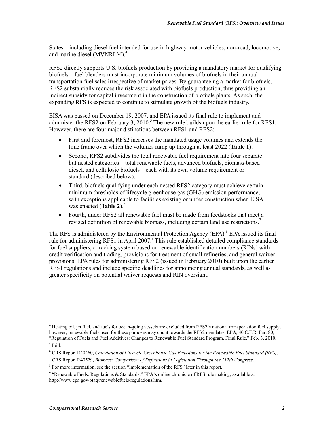States—including diesel fuel intended for use in highway motor vehicles, non-road, locomotive, and marine diesel (MVNRLM).4

RFS2 directly supports U.S. biofuels production by providing a mandatory market for qualifying biofuels—fuel blenders must incorporate minimum volumes of biofuels in their annual transportation fuel sales irrespective of market prices. By guaranteeing a market for biofuels, RFS2 substantially reduces the risk associated with biofuels production, thus providing an indirect subsidy for capital investment in the construction of biofuels plants. As such, the expanding RFS is expected to continue to stimulate growth of the biofuels industry.

EISA was passed on December 19, 2007, and EPA issued its final rule to implement and administer the RFS2 on February 3,  $2010$ .<sup>5</sup> The new rule builds upon the earlier rule for RFS1. However, there are four major distinctions between RFS1 and RFS2:

- First and foremost, RFS2 increases the mandated usage volumes and extends the time frame over which the volumes ramp up through at least 2022 (**Table 1**).
- Second, RFS2 subdivides the total renewable fuel requirement into four separate but nested categories—total renewable fuels, advanced biofuels, biomass-based diesel, and cellulosic biofuels—each with its own volume requirement or standard (described below).
- Third, biofuels qualifying under each nested RFS2 category must achieve certain minimum thresholds of lifecycle greenhouse gas (GHG) emission performance, with exceptions applicable to facilities existing or under construction when EISA was enacted (Table 2).<sup>6</sup>
- Fourth, under RFS2 all renewable fuel must be made from feedstocks that meet a revised definition of renewable biomass, including certain land use restrictions.<sup>7</sup>

The RFS is administered by the Environmental Protection Agency (EPA).<sup>8</sup> EPA issued its final rule for administering RFS1 in April 2007.<sup>9</sup> This rule established detailed compliance standards for fuel suppliers, a tracking system based on renewable identification numbers (RINs) with credit verification and trading, provisions for treatment of small refineries, and general waiver provisions. EPA rules for administering RFS2 (issued in February 2010) built upon the earlier RFS1 regulations and include specific deadlines for announcing annual standards, as well as greater specificity on potential waiver requests and RIN oversight.

<sup>&</sup>lt;sup>4</sup> Heating oil, jet fuel, and fuels for ocean-going vessels are excluded from RFS2's national transportation fuel supply; however, renewable fuels used for these purposes may count towards the RFS2 mandates. EPA, 40 C.F.R. Part 80, "Regulation of Fuels and Fuel Additives: Changes to Renewable Fuel Standard Program, Final Rule," Feb. 3, 2010.

<sup>5</sup> Ibid.

<sup>6</sup> CRS Report R40460, *Calculation of Lifecycle Greenhouse Gas Emissions for the Renewable Fuel Standard (RFS)*.

<sup>7</sup> CRS Report R40529, *Biomass: Comparison of Definitions in Legislation Through the 112th Congress*.

<sup>&</sup>lt;sup>8</sup> For more information, see the section "Implementation of the RFS" later in this report.

<sup>&</sup>lt;sup>9</sup> "Renewable Fuels: Regulations & Standards," EPA's online chronicle of RFS rule making, available at http://www.epa.gov/otaq/renewablefuels/regulations.htm.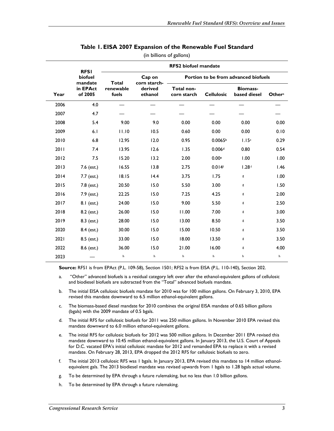|      |                                | <b>RFS2</b> biofuel mandate        |                                    |                           |                      |                                      |                    |
|------|--------------------------------|------------------------------------|------------------------------------|---------------------------|----------------------|--------------------------------------|--------------------|
|      | <b>RFSI</b><br>biofuel         |                                    | Cap on                             |                           |                      | Portion to be from advanced biofuels |                    |
| Year | mandate<br>in EPAct<br>of 2005 | <b>Total</b><br>renewable<br>fuels | corn starch-<br>derived<br>ethanol | Total non-<br>corn starch | <b>Cellulosic</b>    | <b>Biomass-</b><br>based diesel      | Other <sup>a</sup> |
| 2006 | 4.0                            |                                    |                                    |                           |                      |                                      |                    |
| 2007 | 4.7                            |                                    |                                    |                           |                      |                                      |                    |
| 2008 | 5.4                            | 9.00                               | 9.0                                | 0.00                      | 0.00                 | 0.00                                 | 0.00               |
| 2009 | 6.1                            | 11.10                              | 10.5                               | 0.60                      | 0.00                 | 0.00                                 | 0.10               |
| 2010 | 6.8                            | 12.95                              | 12.0                               | 0.95                      | 0.0065 <sup>b</sup>  | 1.15c                                | 0.29               |
| 2011 | 7.4                            | 13.95                              | 12.6                               | 1.35                      | 0.006d               | 0.80                                 | 0.54               |
| 2012 | 7.5                            | 15.20                              | 13.2                               | 2.00                      | 0.00e                | 1.00                                 | 1.00               |
| 2013 | 7.6 (est.)                     | 16.55                              | 13.8                               | 2.75                      | $0.014$ <sup>f</sup> | 1.28 <sup>f</sup>                    | 1.46               |
| 2014 | 7.7 (est.)                     | 18.15                              | 14.4                               | 3.75                      | 1.75                 | g                                    | 1.00               |
| 2015 | 7.8 (est.)                     | 20.50                              | 15.0                               | 5.50                      | 3.00                 | g                                    | 1.50               |
| 2016 | 7.9 (est.)                     | 22.25                              | 15.0                               | 7.25                      | 4.25                 | g                                    | 2.00               |
| 2017 | 8.1 (est.)                     | 24.00                              | 15.0                               | 9.00                      | 5.50                 | g                                    | 2.50               |
| 2018 | 8.2 (est.)                     | 26.00                              | 15.0                               | 11.00                     | 7.00                 | g                                    | 3.00               |
| 2019 | 8.3 (est.)                     | 28.00                              | 15.0                               | 13.00                     | 8.50                 | g                                    | 3.50               |
| 2020 | 8.4 (est.)                     | 30.00                              | 15.0                               | 15.00                     | 10.50                | g                                    | 3.50               |
| 2021 | 8.5 (est.)                     | 33.00                              | 15.0                               | 18.00                     | 13.50                | g                                    | 3.50               |
| 2022 | 8.6 (est.)                     | 36.00                              | 15.0                               | 21.00                     | 16.00                | g                                    | 4.00               |
| 2023 |                                | h                                  | h                                  | h                         | h                    | h                                    | h                  |

#### **Table 1. EISA 2007 Expansion of the Renewable Fuel Standard**

(in billions of gallons)

**Source:** RFS1 is from EPAct (P.L. 109-58), Section 1501; RFS2 is from EISA (P.L. 110-140), Section 202.

- a. "Other" advanced biofuels is a residual category left over after the ethanol-equivalent gallons of cellulosic and biodiesel biofuels are subtracted from the "Total" advanced biofuels mandate.
- b. The initial EISA cellulosic biofuels mandate for 2010 was for 100 million gallons. On February 3, 2010, EPA revised this mandate downward to 6.5 million ethanol-equivalent gallons.
- c. The biomass-based diesel mandate for 2010 combines the original EISA mandate of 0.65 billion gallons (bgals) with the 2009 mandate of 0.5 bgals.
- d. The initial RFS for cellulosic biofuels for 2011 was 250 million gallons. In November 2010 EPA revised this mandate downward to 6.0 million ethanol-equivalent gallons.
- e. The initial RFS for cellulosic biofuels for 2012 was 500 million gallons. In December 2011 EPA revised this mandate downward to 10.45 million ethanol-equivalent gallons. In January 2013, the U.S. Court of Appeals for D.C. vacated EPA's initial cellulosic mandate for 2012 and remanded EPA to replace it with a revised mandate. On February 28, 2013, EPA dropped the 2012 RFS for cellulosic biofuels to zero.
- f. The initial 2013 cellulosic RFS was 1 bgals. In January 2013, EPA revised this mandate to 14 million ethanolequivalent gals. The 2013 biodiesel mandate was revised upwards from 1 bgals to 1.28 bgals actual volume.
- g. To be determined by EPA through a future rulemaking, but no less than 1.0 billion gallons.
- h. To be determined by EPA through a future rulemaking.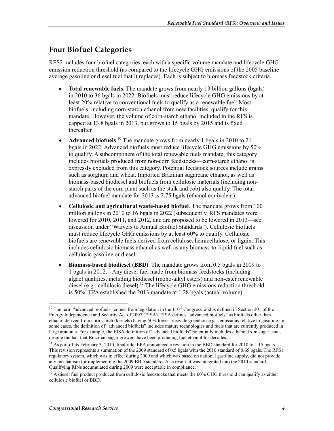## **Four Biofuel Categories**

RFS2 includes four biofuel categories, each with a specific volume mandate and lifecycle GHG emission reduction threshold (as compared to the lifecycle GHG emissions of the 2005 baseline average gasoline or diesel fuel that it replaces). Each is subject to biomass feedstock criteria.

- **Total renewable fuels**. The mandate grows from nearly 13 billion gallons (bgals) in 2010 to 36 bgals in 2022. Biofuels must reduce lifecycle GHG emissions by at least 20% relative to conventional fuels to qualify as a renewable fuel. Most biofuels, including corn-starch ethanol from new facilities, qualify for this mandate. However, the volume of corn-starch ethanol included in the RFS is capped at 13.8 bgals in 2013, but grows to 15 bgals by 2015 and is fixed thereafter.
- **Advanced biofuels**.<sup>10</sup> The mandate grows from nearly 1 bgals in 2010 to 21 bgals in 2022. Advanced biofuels must reduce lifecycle GHG emissions by 50% to qualify. A subcomponent of the total renewable fuels mandate, this category includes biofuels produced from non-corn feedstocks—corn-starch ethanol is expressly excluded from this category. Potential feedstock sources include grains such as sorghum and wheat. Imported Brazilian sugarcane ethanol, as well as biomass-based biodiesel and biofuels from cellulosic materials (including nonstarch parts of the corn plant such as the stalk and cob) also qualify. The total advanced biofuel mandate for 2013 is 2.75 bgals (ethanol equivalent).
- **Cellulosic and agricultural waste-based biofuel**. The mandate grows from 100 million gallons in 2010 to 16 bgals in 2022 (subsequently, RFS mandates were lowered for 2010, 2011, and 2012, and are proposed to be lowered in 2013—see discussion under "Waivers to Annual Biofuel Standards"). Cellulosic biofuels must reduce lifecycle GHG emissions by at least 60% to qualify. Cellulosic biofuels are renewable fuels derived from cellulose, hemicellulose, or lignin. This includes cellulosic biomass ethanol as well as any biomass-to-liquid fuel such as cellulosic gasoline or diesel.
- **Biomass-based biodiesel (BBD)**. The mandate grows from 0.5 bgals in 2009 to 1 bgals in 2012.11 Any diesel fuel made from biomass feedstocks (including algae) qualifies, including biodiesel (mono-alkyl esters) and non-ester renewable diesel (e.g., cellulosic diesel).<sup>12</sup> The lifecycle GHG emissions reduction threshold is 50%. EPA established the 2013 mandate at 1.28 bgals (actual volume).

<u>.</u>

<sup>&</sup>lt;sup>10</sup> The term "advanced biofuels" comes from legislation in the  $110<sup>th</sup>$  Congress, and is defined in Section 201 of the Energy Independence and Security Act of 2007 (EISA). EISA defines "advanced biofuels" as biofuels other than ethanol derived from corn starch (kernels) having 50% lower lifecycle greenhouse gas emissions relative to gasoline. In some cases, the definition of "advanced biofuels" includes mature technologies and fuels that are currently produced in large amounts. For example, the EISA definition of "advanced biofuels" potentially includes ethanol from sugar cane, despite the fact that Brazilian sugar growers have been producing fuel ethanol for decades.

 $11$  As part of its February 3, 2010, final rule, EPA announced a revision in the BBD standard for 2010 to 1.15 bgals. This revision represents a summation of the 2009 standard of 0.5 bgals with the 2010 standard of 0.65 bgals. The RFS1 regulatory system, which was in effect during 2009 and which was based on national gasoline supply, did not provide any mechanism for implementing the 2009 BBD standard. As a result, it was integrated into the 2010 standard. Qualifying RINs accumulated during 2009 were acceptable in compliance.

 $12$  A diesel fuel product produced from cellulosic feedstocks that meets the 60% GHG threshold can qualify as either cellulosic biofuel or BBD.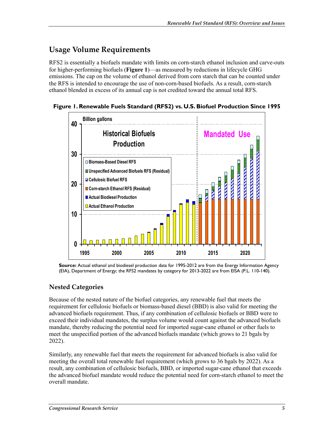## **Usage Volume Requirements**

RFS2 is essentially a biofuels mandate with limits on corn-starch ethanol inclusion and carve-outs for higher-performing biofuels (**Figure 1**)—as measured by reductions in lifecycle GHG emissions. The cap on the volume of ethanol derived from corn starch that can be counted under the RFS is intended to encourage the use of non-corn-based biofuels. As a result, corn-starch ethanol blended in excess of its annual cap is not credited toward the annual total RFS.

**Figure 1. Renewable Fuels Standard (RFS2) vs. U.S. Biofuel Production Since 1995** 



**Source:** Actual ethanol and biodiesel production data for 1995-2012 are from the Energy Information Agency (EIA), Department of Energy; the RFS2 mandates by category for 2013-2022 are from EISA (P.L. 110-140).

### **Nested Categories**

Because of the nested nature of the biofuel categories, any renewable fuel that meets the requirement for cellulosic biofuels or biomass-based diesel (BBD) is also valid for meeting the advanced biofuels requirement. Thus, if any combination of cellulosic biofuels or BBD were to exceed their individual mandates, the surplus volume would count against the advanced biofuels mandate, thereby reducing the potential need for imported sugar-cane ethanol or other fuels to meet the unspecified portion of the advanced biofuels mandate (which grows to 21 bgals by 2022).

Similarly, any renewable fuel that meets the requirement for advanced biofuels is also valid for meeting the overall total renewable fuel requirement (which grows to 36 bgals by 2022). As a result, any combination of cellulosic biofuels, BBD, or imported sugar-cane ethanol that exceeds the advanced biofuel mandate would reduce the potential need for corn-starch ethanol to meet the overall mandate.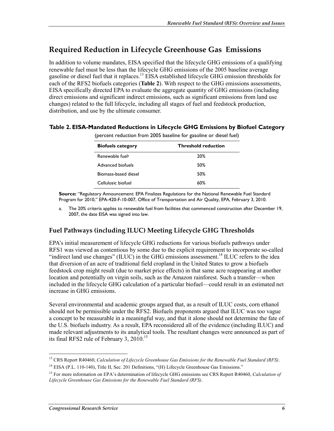## **Required Reduction in Lifecycle Greenhouse Gas Emissions**

In addition to volume mandates, EISA specified that the lifecycle GHG emissions of a qualifying renewable fuel must be less than the lifecycle GHG emissions of the 2005 baseline average gasoline or diesel fuel that it replaces.<sup>13</sup> EISA established lifecycle GHG emission thresholds for each of the RFS2 biofuels categories (**Table 2**). With respect to the GHG emissions assessments, EISA specifically directed EPA to evaluate the aggregate quantity of GHG emissions (including direct emissions and significant indirect emissions, such as significant emissions from land use changes) related to the full lifecycle, including all stages of fuel and feedstock production, distribution, and use by the ultimate consumer.

#### **Table 2. EISA-Mandated Reductions in Lifecycle GHG Emissions by Biofuel Category**

| (percent reduction from 2005 baseline for gasoline or diesel fuel) |  |  |
|--------------------------------------------------------------------|--|--|
|                                                                    |  |  |

| <b>Biofuels category</b>    | <b>Threshold reduction</b> |
|-----------------------------|----------------------------|
| Renewable fuel <sup>a</sup> | 20%                        |
| Advanced biofuels           | .50%                       |
| Biomass-based diesel        | .50%                       |
| Cellulosic biofuel          | 60%                        |

**Source:** "Regulatory Announcement: EPA Finalizes Regulations for the National Renewable Fuel Standard Program for 2010," EPA-420-F-10-007, Office of Transportation and Air Quality, EPA, February 3, 2010.

a. The 20% criteria applies to renewable fuel from facilities that commenced construction after December 19, 2007, the date EISA was signed into law.

### **Fuel Pathways (including ILUC) Meeting Lifecycle GHG Thresholds**

EPA's initial measurement of lifecycle GHG reductions for various biofuels pathways under RFS1 was viewed as contentious by some due to the explicit requirement to incorporate so-called "indirect land use changes" (ILUC) in the GHG emissions assessment.<sup>14</sup> ILUC refers to the idea that diversion of an acre of traditional field cropland in the United States to grow a biofuels feedstock crop might result (due to market price effects) in that same acre reappearing at another location and potentially on virgin soils, such as the Amazon rainforest. Such a transfer—when included in the lifecycle GHG calculation of a particular biofuel—could result in an estimated net increase in GHG emissions.

Several environmental and academic groups argued that, as a result of ILUC costs, corn ethanol should not be permissible under the RFS2. Biofuels proponents argued that ILUC was too vague a concept to be measurable in a meaningful way, and that it alone should not determine the fate of the U.S. biofuels industry. As a result, EPA reconsidered all of the evidence (including ILUC) and made relevant adjustments to its analytical tools. The resultant changes were announced as part of its final RFS2 rule of February 3, 2010.<sup>15</sup>

<sup>1</sup> 13 CRS Report R40460, *Calculation of Lifecycle Greenhouse Gas Emissions for the Renewable Fuel Standard (RFS)*.

<sup>&</sup>lt;sup>14</sup> EISA (P.L. 110-140), Title II, Sec. 201 Definitions, "(H) Lifecycle Greenhouse Gas Emissions."

<sup>15</sup> For more information on EPA's determination of lifecycle GHG emissions see CRS Report R40460, *Calculation of Lifecycle Greenhouse Gas Emissions for the Renewable Fuel Standard (RFS)*.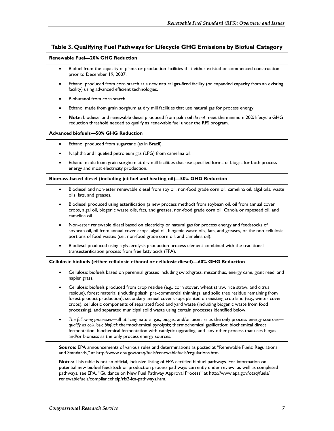#### **Table 3. Qualifying Fuel Pathways for Lifecycle GHG Emissions by Biofuel Category**

#### **Renewable Fuel—20% GHG Reduction**

- Biofuel from the capacity of plants or production facilities that either existed or commenced construction prior to December 19, 2007.
- Ethanol produced from corn starch at a new natural gas-fired facility (or expanded capacity from an existing facility) using advanced efficient technologies.
- Biobutanol from corn starch.
- Ethanol made from grain sorghum at dry mill facilities that use natural gas for process energy.
- **Note:** biodiesel and renewable diesel produced from palm oil *do not* meet the minimum 20% lifecycle GHG reduction threshold needed to qualify as renewable fuel under the RFS program.

#### **Advanced biofuels—50% GHG Reduction**

- Ethanol produced from sugarcane (as in Brazil).
- Naphtha and liquefied petroleum gas (LPG) from camelina oil.
- Ethanol made from grain sorghum at dry mill facilities that use specified forms of biogas for both process energy and most electricity production.

#### **Biomass-based diesel (including jet fuel and heating oil)—50% GHG Reduction**

- Biodiesel and non-ester renewable diesel from soy oil, non-food grade corn oil, camelina oil, algal oils, waste oils, fats, and greases.
- Biodiesel produced using esterification (a new process method) from soybean oil, oil from annual cover crops, algal oil, biogenic waste oils, fats, and greases, non-food grade corn oil, Canola or rapeseed oil, and camelina oil.
- Non-ester renewable diesel based on electricity or natural gas for process energy and feedstocks of soybean oil, oil from annual cover crops, algal oil, biogenic waste oils, fats, and greases, or the non-cellulosic portions of food wastes (i.e., non-food grade corn oil, and camelina oil).
- Biodiesel produced using a glycerolysis production process element combined with the traditional transesterification process from free fatty acids (FFA).

#### **Cellulosic biofuels (either cellulosic ethanol or cellulosic diesel)—60% GHG Reduction**

- Cellulosic biofuels based on perennial grasses including switchgrass, miscanthus, energy cane, giant reed, and napier grass.
- Cellulosic biofuels produced from crop residue (e.g., corn stover, wheat straw, rice straw, and citrus residue), forest material (including slash, pre-commercial thinnings, and solid tree residue remaining from forest product production), secondary annual cover crops planted on existing crop land (e.g., winter cover crops), cellulosic components of separated food and yard waste (including biogenic waste from food processing), and separated municipal solid waste using certain processes identified below.
- *The following processes*—all utilizing natural gas, biogas, and/or biomass as the only process energy sources *qualify as cellulosic biofuel*: thermochemical pyrolysis; thermochemical gasification; biochemical direct fermentation; biochemical fermentation with catalytic upgrading; and any other process that uses biogas and/or biomass as the only process energy sources.

**Source:** EPA announcements of various rules and determinations as posted at "Renewable Fuels: Regulations and Standards," at http://www.epa.gov/otaq/fuels/renewablefuels/regulations.htm.

**Notes:** This table is not an official, inclusive listing of EPA certified biofuel pathways. For information on potential new biofuel feedstock or production process pathways currently under review, as well as completed pathways, see EPA, "Guidance on New Fuel Pathway Approval Process" at http://www.epa.gov/otaq/fuels/ renewablefuels/compliancehelp/rfs2-lca-pathways.htm.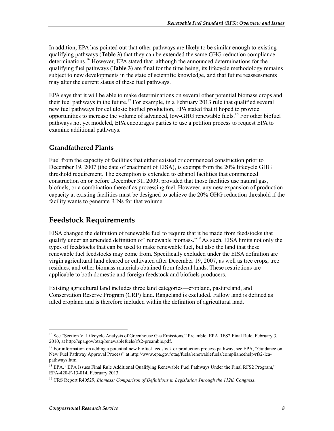In addition, EPA has pointed out that other pathways are likely to be similar enough to existing qualifying pathways (**Table 3**) that they can be extended the same GHG reduction compliance determinations.<sup>16</sup> However, EPA stated that, although the announced determinations for the qualifying fuel pathways (**Table 3**) are final for the time being, its lifecycle methodology remains subject to new developments in the state of scientific knowledge, and that future reassessments may alter the current status of these fuel pathways.

EPA says that it will be able to make determinations on several other potential biomass crops and their fuel pathways in the future.<sup>17</sup> For example, in a February 2013 rule that qualified several new fuel pathways for cellulosic biofuel production, EPA stated that it hoped to provide opportunities to increase the volume of advanced, low-GHG renewable fuels.<sup>18</sup> For other biofuel pathways not yet modeled, EPA encourages parties to use a petition process to request EPA to examine additional pathways.

### **Grandfathered Plants**

Fuel from the capacity of facilities that either existed or commenced construction prior to December 19, 2007 (the date of enactment of EISA), is exempt from the 20% lifecycle GHG threshold requirement. The exemption is extended to ethanol facilities that commenced construction on or before December 31, 2009, provided that those facilities use natural gas, biofuels, or a combination thereof as processing fuel. However, any new expansion of production capacity at existing facilities must be designed to achieve the 20% GHG reduction threshold if the facility wants to generate RINs for that volume.

## **Feedstock Requirements**

EISA changed the definition of renewable fuel to require that it be made from feedstocks that qualify under an amended definition of "renewable biomass."<sup>19</sup> As such, EISA limits not only the types of feedstocks that can be used to make renewable fuel, but also the land that these renewable fuel feedstocks may come from. Specifically excluded under the EISA definition are virgin agricultural land cleared or cultivated after December 19, 2007, as well as tree crops, tree residues, and other biomass materials obtained from federal lands. These restrictions are applicable to both domestic and foreign feedstock and biofuels producers.

Existing agricultural land includes three land categories—cropland, pastureland, and Conservation Reserve Program (CRP) land. Rangeland is excluded. Fallow land is defined as idled cropland and is therefore included within the definition of agricultural land.

<sup>&</sup>lt;sup>16</sup> See "Section V. Lifecycle Analysis of Greenhouse Gas Emissions," Preamble, EPA RFS2 Final Rule, February 3, 2010, at http://epa.gov/otaq/renewablefuels/rfs2-preamble.pdf.

<sup>&</sup>lt;sup>17</sup> For information on adding a potential new biofuel feedstock or production process pathway, see EPA, "Guidance on New Fuel Pathway Approval Process" at http://www.epa.gov/otaq/fuels/renewablefuels/compliancehelp/rfs2-lcapathways.htm.

<sup>&</sup>lt;sup>18</sup> EPA, "EPA Issues Final Rule Additional Qualifying Renewable Fuel Pathways Under the Final RFS2 Program," EPA-420-F-13-014, February 2013.

<sup>19</sup> CRS Report R40529, *Biomass: Comparison of Definitions in Legislation Through the 112th Congress*.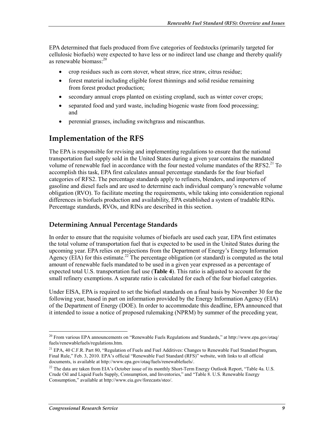EPA determined that fuels produced from five categories of feedstocks (primarily targeted for cellulosic biofuels) were expected to have less or no indirect land use change and thereby qualify as renewable biomass:20

- crop residues such as corn stover, wheat straw, rice straw, citrus residue;
- forest material including eligible forest thinnings and solid residue remaining from forest product production;
- secondary annual crops planted on existing cropland, such as winter cover crops;
- separated food and yard waste, including biogenic waste from food processing; and
- perennial grasses, including switchgrass and miscanthus.

## **Implementation of the RFS**

The EPA is responsible for revising and implementing regulations to ensure that the national transportation fuel supply sold in the United States during a given year contains the mandated volume of renewable fuel in accordance with the four nested volume mandates of the RFS2.<sup>21</sup> To accomplish this task, EPA first calculates annual percentage standards for the four biofuel categories of RFS2. The percentage standards apply to refiners, blenders, and importers of gasoline and diesel fuels and are used to determine each individual company's renewable volume obligation (RVO). To facilitate meeting the requirements, while taking into consideration regional differences in biofuels production and availability, EPA established a system of tradable RINs. Percentage standards, RVOs, and RINs are described in this section.

#### **Determining Annual Percentage Standards**

In order to ensure that the requisite volumes of biofuels are used each year, EPA first estimates the total volume of transportation fuel that is expected to be used in the United States during the upcoming year. EPA relies on projections from the Department of Energy's Energy Information Agency (EIA) for this estimate.<sup>22</sup> The percentage obligation (or standard) is computed as the total amount of renewable fuels mandated to be used in a given year expressed as a percentage of expected total U.S. transportation fuel use (**Table 4**). This ratio is adjusted to account for the small refinery exemptions. A separate ratio is calculated for each of the four biofuel categories.

Under EISA, EPA is required to set the biofuel standards on a final basis by November 30 for the following year, based in part on information provided by the Energy Information Agency (EIA) of the Department of Energy (DOE). In order to accommodate this deadline, EPA announced that it intended to issue a notice of proposed rulemaking (NPRM) by summer of the preceding year,

<sup>&</sup>lt;sup>20</sup> From various EPA announcements on "Renewable Fuels Regulations and Standards," at http://www.epa.gov/otaq/ fuels/renewablefuels/regulations.htm.

<sup>&</sup>lt;sup>21</sup> EPA, 40 C.F.R. Part 80, "Regulation of Fuels and Fuel Additives: Changes to Renewable Fuel Standard Program, Final Rule," Feb. 3, 2010. EPA's official "Renewable Fuel Standard (RFS)" website, with links to all official documents, is available at http://www.epa.gov/otaq/fuels/renewablefuels/.

<sup>&</sup>lt;sup>22</sup> The data are taken from EIA's October issue of its monthly Short-Term Energy Outlook Report, "Table 4a. U.S. Crude Oil and Liquid Fuels Supply, Consumption, and Inventories," and "Table 8. U.S. Renewable Energy Consumption," available at http://www.eia.gov/forecasts/steo/.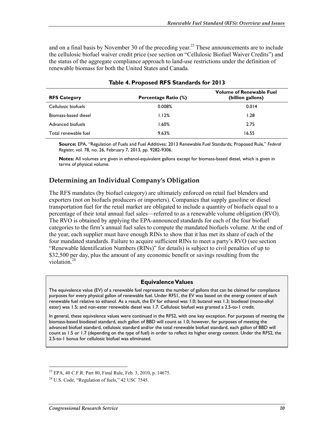and on a final basis by November 30 of the preceding year.<sup>23</sup> These announcements are to include the cellulosic biofuel waiver credit price (see section on "Cellulosic Biofuel Waiver Credits") and the status of the aggregate compliance approach to land-use restrictions under the definition of renewable biomass for both the United States and Canada.

| <b>RFS Category</b>  | Percentage Ratio (%) | <b>Volume of Renewable Fuel</b><br>(billion gallons) |
|----------------------|----------------------|------------------------------------------------------|
| Cellulosic biofuels  | 0.008%               | 0.014                                                |
| Biomass-based diesel | 1.12%                | 1.28                                                 |
| Advanced biofuels    | $1.60\%$             | 2.75                                                 |
| Total renewable fuel | 9.63%                | 16.55                                                |

#### **Table 4. Proposed RFS Standards for 2013**

**Source:** EPA, "Regulation of Fuels and Fuel Additives: 2013 Renewable Fuel Standards; Proposed Rule," *Federal Register,* vol. 78, no. 26, February 7, 2013, pp. 9282-9306.

**Notes:** All volumes are given in ethanol-equivalent gallons except for biomass-based diesel, which is given in terms of physical volume.

#### **Determining an Individual Company's Obligation**

The RFS mandates (by biofuel category) are ultimately enforced on retail fuel blenders and exporters (not on biofuels producers or importers). Companies that supply gasoline or diesel transportation fuel for the retail market are obligated to include a quantity of biofuels equal to a percentage of their total annual fuel sales—referred to as a renewable volume obligation (RVO). The RVO is obtained by applying the EPA-announced standards for each of the four biofuel categories to the firm's annual fuel sales to compute the mandated biofuels volume. At the end of the year, each supplier must have enough RINs to show that it has met its share of each of the four mandated standards. Failure to acquire sufficient RINs to meet a party's RVO (see section "Renewable Identification Numbers (RINs)" for details) is subject to civil penalties of up to \$32,500 per day, plus the amount of any economic benefit or savings resulting from the violation.<sup>24</sup>

#### **Equivalence Values**

The equivalence value (EV) of a renewable fuel represents the number of gallons that can be claimed for compliance purposes for every physical gallon of renewable fuel. Under RFS1, the EV was based on the energy content of each renewable fuel relative to ethanol. As a result, the EV for ethanol was 1.0; butanol was 1.3; biodiesel (mono-alkyl ester) was 1.5; and non-ester renewable diesel was 1.7. Cellulosic biofuel was granted a 2.5-to-1 credit.

In general, these equivalence values were continued in the RFS2, with one key exception. For purposes of meeting the biomass-based biodiesel standard, each gallon of BBD will count as 1.0; however, for purposes of meeting the advanced biofuel standard, cellulosic standard and/or the total renewable biofuel standard, each gallon of BBD will count as 1.5 or 1.7 (depending on the type of fuel) in order to reflect its higher energy content. Under the RFS2, the 2.5-to-1 bonus for cellulosic biofuel was eliminated.

 $^{23}$  EPA, 40 C.F.R. Part 80, Final Rule, Feb. 3, 2010, p. 14675.

<sup>&</sup>lt;sup>24</sup> U.S. Code, "Regulation of fuels," 42 USC 7545.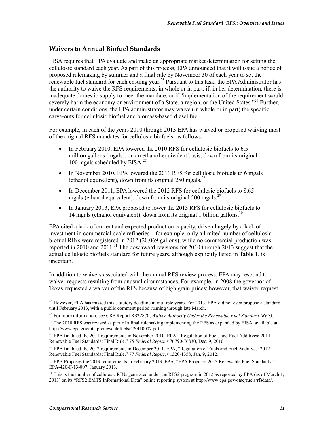#### **Waivers to Annual Biofuel Standards**

EISA requires that EPA evaluate and make an appropriate market determination for setting the cellulosic standard each year. As part of this process, EPA announced that it will issue a notice of proposed rulemaking by summer and a final rule by November 30 of each year to set the renewable fuel standard for each ensuing year.<sup>25</sup> Pursuant to this task, the EPA Administrator has the authority to waive the RFS requirements, in whole or in part, if, in her determination, there is inadequate domestic supply to meet the mandate, or if "implementation of the requirement would severely harm the economy or environment of a State, a region, or the United States."<sup>26</sup> Further, under certain conditions, the EPA administrator may waive (in whole or in part) the specific carve-outs for cellulosic biofuel and biomass-based diesel fuel.

For example, in each of the years 2010 through 2013 EPA has waived or proposed waiving most of the original RFS mandates for cellulosic biofuels, as follows:

- In February 2010, EPA lowered the 2010 RFS for cellulosic biofuels to 6.5 million gallons (mgals), on an ethanol-equivalent basis, down from its original 100 mgals scheduled by  $EISA.<sup>27</sup>$
- In November 2010, EPA lowered the 2011 RFS for cellulosic biofuels to 6 mgals (ethanol equivalent), down from its original  $250$  mgals.<sup>28</sup>
- In December 2011, EPA lowered the 2012 RFS for cellulosic biofuels to 8.65 mgals (ethanol equivalent), down from its original 500 mgals.<sup>29</sup>
- In January 2013, EPA proposed to lower the 2013 RFS for cellulosic biofuels to 14 mgals (ethanol equivalent), down from its original 1 billion gallons.<sup>30</sup>

EPA cited a lack of current and expected production capacity, driven largely by a lack of investment in commercial-scale refineries—for example, only a limited number of cellulosic biofuel RINs were registered in 2012 (20,069 gallons), while no commercial production was reported in 2010 and 2011.<sup>31</sup> The downward revisions for 2010 through 2013 suggest that the actual cellulosic biofuels standard for future years, although explicitly listed in **Table 1**, is uncertain.

In addition to waivers associated with the annual RFS review process, EPA may respond to waiver requests resulting from unusual circumstances. For example, in 2008 the governor of Texas requested a waiver of the RFS because of high grain prices; however, that waiver request

<u>.</u>

<sup>&</sup>lt;sup>25</sup> However, EPA has missed this statutory deadline in multiple years. For 2013, EPA did not even propose a standard until February 2013, with a public comment period running through late March.

<sup>26</sup> For more information, see CRS Report RS22870, *Waiver Authority Under the Renewable Fuel Standard (RFS)*.

 $27$  The 2010 RFS was revised as part of a final rulemaking implementing the RFS as expanded by EISA, available at http://www.epa.gov/otaq/renewablefuels/420f10007.pdf.

<sup>&</sup>lt;sup>28</sup> EPA finalized the 2011 requirements in November 2010. EPA, "Regulation of Fuels and Fuel Additives: 2011 Renewable Fuel Standards; Final Rule," 75 *Federal Register* 76790-76830, Dec. 9, 2010.

<sup>&</sup>lt;sup>29</sup> EPA finalized the 2012 requirements in December 2011. EPA, "Regulation of Fuels and Fuel Additives: 2012 Renewable Fuel Standards; Final Rule," 77 *Federal Register* 1320-1358, Jan. 9, 2012.

<sup>&</sup>lt;sup>30</sup> EPA Proposes the 2013 requirements in February 2013. EPA, "EPA Proposes 2013 Renewable Fuel Standards," EPA-420-F-13-007, January 2013.

 $31$  This is the number of cellulosic RINs generated under the RFS2 program in 2012 as reported by EPA (as of March 1, 2013) on its "RFS2 EMTS Informational Data" online reporting system at http://www.epa.gov/otaq/fuels/rfsdata/.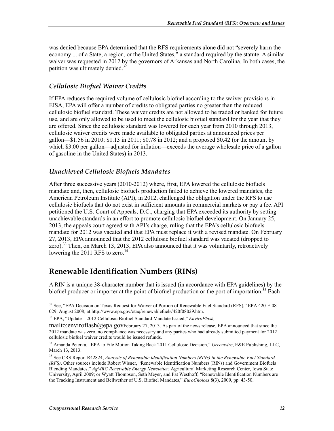was denied because EPA determined that the RFS requirements alone did not "severely harm the economy ... of a State, a region, or the United States," a standard required by the statute. A similar waiver was requested in 2012 by the governors of Arkansas and North Carolina. In both cases, the petition was ultimately denied. $32$ 

#### *Cellulosic Biofuel Waiver Credits*

If EPA reduces the required volume of cellulosic biofuel according to the waiver provisions in EISA, EPA will offer a number of credits to obligated parties no greater than the reduced cellulosic biofuel standard. These waiver credits are not allowed to be traded or banked for future use, and are only allowed to be used to meet the cellulosic biofuel standard for the year that they are offered. Since the cellulosic standard was lowered for each year from 2010 through 2013, cellulosic waiver credits were made available to obligated parties at announced prices per gallon—\$1.56 in 2010; \$1.13 in 2011; \$0.78 in 2012; and a proposed \$0.42 (or the amount by which \$3.00 per gallon—adjusted for inflation—exceeds the average wholesale price of a gallon of gasoline in the United States) in 2013.

#### *Unachieved Cellulosic Biofuels Mandates*

After three successive years (2010-2012) where, first, EPA lowered the cellulosic biofuels mandate and, then, cellulosic biofuels production failed to achieve the lowered mandates, the American Petroleum Institute (API), in 2012, challenged the obligation under the RFS to use cellulosic biofuels that do not exist in sufficient amounts in commercial markets or pay a fee. API petitioned the U.S. Court of Appeals, D.C., charging that EPA exceeded its authority by setting unachievable standards in an effort to promote cellulosic biofuel development. On January 25, 2013, the appeals court agreed with API's charge, ruling that the EPA's cellulosic biofuels mandate for 2012 was vacated and that EPA must replace it with a revised mandate. On February 27, 2013, EPA announced that the 2012 cellulosic biofuel standard was vacated (dropped to zero).<sup>33</sup> Then, on March 13, 2013, EPA also announced that it was voluntarily, retroactively lowering the 2011 RFS to zero. $34$ 

## **Renewable Identification Numbers (RINs)**

A RIN is a unique 38-character number that is issued (in accordance with EPA guidelines) by the biofuel producer or importer at the point of biofuel production or the port of importation.<sup>35</sup> Each

<sup>&</sup>lt;sup>32</sup> See, "EPA Decision on Texas Request for Waiver of Portion of Renewable Fuel Standard (RFS)," EPA 420-F-08-029, August 2008; at http://www.epa.gov/otaq/renewablefuels/420f08029.htm.

<sup>33</sup> EPA, "Update—2012 Cellulosic Biofuel Standard Mandate Issued," *EnviroFlash,* 

mailto: enviroflash $@$ epa.govFebruary 27, 2013. As part of the news release, EPA announced that since the 2012 mandate was zero, no compliance was necessary and any parties who had already submitted payment for 2012 cellulosic biofuel waiver credits would be issued refunds.

<sup>34</sup> Amanda Peterka, "EPA to File Motion Taking Back 2011 Cellulosic Decision," *Greenwire*, E&E Publishing, LLC, March 13, 2013.

<sup>35</sup> See CRS Report R42824, *Analysis of Renewable Identification Numbers (RINs) in the Renewable Fuel Standard (RFS)*. Other sources include Robert Wisner, "Renewable Identification Numbers (RINs) and Government Biofuels Blending Mandates," *AgMRC Renewable Energy Newsletter*, Agricultural Marketing Research Center, Iowa State University, April 2009; or Wyatt Thompson, Seth Meyer, and Pat Westhoff, "Renewable Identification Numbers are the Tracking Instrument and Bellwether of U.S. Biofuel Mandates," *EuroChoices* 8(3), 2009, pp. 43-50.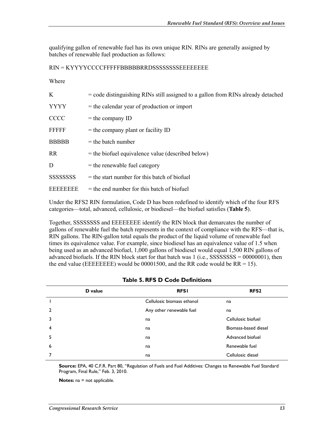qualifying gallon of renewable fuel has its own unique RIN. RINs are generally assigned by batches of renewable fuel production as follows:

#### RIN = KYYYYCCCCFFFFFBBBBBRRDSSSSSSSSEEEEEEEE

#### Where

| K                                  | $=$ code distinguishing RINs still assigned to a gallon from RINs already detached |
|------------------------------------|------------------------------------------------------------------------------------|
| <b>YYYY</b>                        | $=$ the calendar year of production or import                                      |
| <b>CCCC</b>                        | $=$ the company ID                                                                 |
| FFFFF                              | $=$ the company plant or facility ID                                               |
| <b>BBBBB</b>                       | $=$ the batch number                                                               |
| <b>RR</b>                          | $=$ the biofuel equivalence value (described below)                                |
| D                                  | $=$ the renewable fuel category                                                    |
| <b>SSSSSSSSSSSSSSSSSSSSSSSSSSS</b> | $=$ the start number for this batch of biofuel                                     |
| <b>EEEEEEEE</b>                    | $=$ the end number for this batch of biofuel                                       |
|                                    |                                                                                    |

Under the RFS2 RIN formulation, Code D has been redefined to identify which of the four RFS categories—total, advanced, cellulosic, or biodiesel—the biofuel satisfies (**Table 5**).

Together, SSSSSSSS and EEEEEEEE identify the RIN block that demarcates the number of gallons of renewable fuel the batch represents in the context of compliance with the RFS—that is, RIN gallons. The RIN-gallon total equals the product of the liquid volume of renewable fuel times its equivalence value. For example, since biodiesel has an equivalence value of 1.5 when being used as an advanced biofuel, 1,000 gallons of biodiesel would equal 1,500 RIN gallons of advanced biofuels. If the RIN block start for that batch was  $1$  (i.e., SSSSSSSS = 00000001), then the end value (EEEEEEEE) would be 00001500, and the RR code would be  $RR = 15$ ).

|   | D value | <b>RFSI</b>                | RFS <sub>2</sub>     |
|---|---------|----------------------------|----------------------|
|   |         | Cellulosic biomass ethanol | na                   |
| 2 |         | Any other renewable fuel   | na                   |
| 3 |         | na                         | Cellulosic biofuel   |
| 4 |         | na                         | Biomass-based diesel |
| 5 |         | na                         | Advanced biofuel     |
| 6 |         | na                         | Renewable fuel       |
|   |         | na                         | Cellulosic diesel    |

**Source:** EPA, 40 C.F.R. Part 80, "Regulation of Fuels and Fuel Additives: Changes to Renewable Fuel Standard Program, Final Rule," Feb. 3, 2010.

**Notes:** na = not applicable.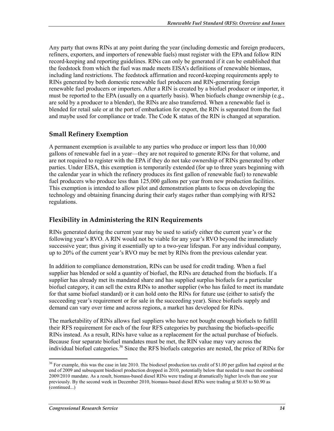Any party that owns RINs at any point during the year (including domestic and foreign producers, refiners, exporters, and importers of renewable fuels) must register with the EPA and follow RIN record-keeping and reporting guidelines. RINs can only be generated if it can be established that the feedstock from which the fuel was made meets EISA's definitions of renewable biomass, including land restrictions. The feedstock affirmation and record-keeping requirements apply to RINs generated by both domestic renewable fuel producers and RIN-generating foreign renewable fuel producers or importers. After a RIN is created by a biofuel producer or importer, it must be reported to the EPA (usually on a quarterly basis). When biofuels change ownership (e.g., are sold by a producer to a blender), the RINs are also transferred. When a renewable fuel is blended for retail sale or at the port of embarkation for export, the RIN is separated from the fuel and maybe used for compliance or trade. The Code K status of the RIN is changed at separation.

### **Small Refinery Exemption**

A permanent exemption is available to any parties who produce or import less than 10,000 gallons of renewable fuel in a year—they are not required to generate RINs for that volume, and are not required to register with the EPA if they do not take ownership of RINs generated by other parties. Under EISA, this exemption is temporarily extended (for up to three years beginning with the calendar year in which the refinery produces its first gallon of renewable fuel) to renewable fuel producers who produce less than 125,000 gallons per year from new production facilities. This exemption is intended to allow pilot and demonstration plants to focus on developing the technology and obtaining financing during their early stages rather than complying with RFS2 regulations.

### **Flexibility in Administering the RIN Requirements**

RINs generated during the current year may be used to satisfy either the current year's or the following year's RVO. A RIN would not be viable for any year's RVO beyond the immediately successive year; thus giving it essentially up to a two-year lifespan. For any individual company, up to 20% of the current year's RVO may be met by RINs from the previous calendar year.

In addition to compliance demonstration, RINs can be used for credit trading. When a fuel supplier has blended or sold a quantity of biofuel, the RINs are detached from the biofuels. If a supplier has already met its mandated share and has supplied surplus biofuels for a particular biofuel category, it can sell the extra RINs to another supplier (who has failed to meet its mandate for that same biofuel standard) or it can hold onto the RINs for future use (either to satisfy the succeeding year's requirement or for sale in the succeeding year). Since biofuels supply and demand can vary over time and across regions, a market has developed for RINs.

The marketability of RINs allows fuel suppliers who have not bought enough biofuels to fulfill their RFS requirement for each of the four RFS categories by purchasing the biofuels-specific RINs instead. As a result, RINs have value as a replacement for the actual purchase of biofuels. Because four separate biofuel mandates must be met, the RIN value may vary across the individual biofuel categories.<sup>36</sup> Since the RFS biofuels categories are nested, the price of RINs for

<sup>&</sup>lt;sup>36</sup> For example, this was the case in late 2010. The biodiesel production tax credit of \$1.00 per gallon had expired at the end of 2009 and subsequent biodiesel production dropped in 2010, potentially below that needed to meet the combined 2009/2010 mandate. As a result, biomass-based diesel RINs were trading at dramatically higher levels than one year previously. By the second week in December 2010, biomass-based diesel RINs were trading at \$0.85 to \$0.90 as (continued...)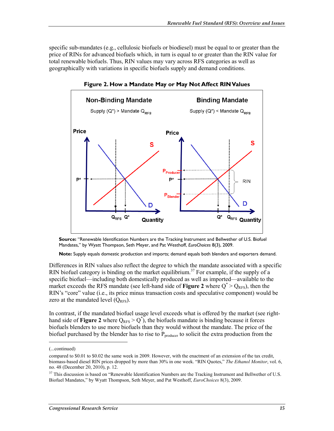specific sub-mandates (e.g., cellulosic biofuels or biodiesel) must be equal to or greater than the price of RINs for advanced biofuels which, in turn is equal to or greater than the RIN value for total renewable biofuels. Thus, RIN values may vary across RFS categories as well as geographically with variations in specific biofuels supply and demand conditions.



**Figure 2. How a Mandate May or May Not Affect RIN Values** 

**Source:** "Renewable Identification Numbers are the Tracking Instrument and Bellwether of U.S. Biofuel Mandates," by Wyatt Thompson, Seth Meyer, and Pat Westhoff, *EuroChoices* 8(3), 2009.

**Note:** Supply equals domestic production and imports; demand equals both blenders and exporters demand.

Differences in RIN values also reflect the degree to which the mandate associated with a specific RIN biofuel category is binding on the market equilibrium.<sup>37</sup> For example, if the supply of a specific biofuel—including both domestically produced as well as imported—available to the market exceeds the RFS mandate (see left-hand side of **Figure 2** where  $Q^*$  >  $Q_{RFS}$ ), then the RIN's "core" value (i.e., its price minus transaction costs and speculative component) would be zero at the mandated level  $(Q_{RFS})$ .

In contrast, if the mandated biofuel usage level exceeds what is offered by the market (see righthand side of **Figure 2** where  $Q_{RFS} > Q^*$ , the biofuels mandate is binding because it forces biofuels blenders to use more biofuels than they would without the mandate. The price of the biofuel purchased by the blender has to rise to  $P_{\text{producer}}$  to solicit the extra production from the

 $\overline{a}$ 

<sup>(...</sup>continued)

compared to \$0.01 to \$0.02 the same week in 2009. However, with the enactment of an extension of the tax credit, biomass-based diesel RIN prices dropped by more than 30% in one week. "RIN Quotes," *The Ethanol Monitor*, vol. 6, no. 48 (December 20, 2010), p. 12.

<sup>&</sup>lt;sup>37</sup> This discussion is based on "Renewable Identification Numbers are the Tracking Instrument and Bellwether of U.S. Biofuel Mandates," by Wyatt Thompson, Seth Meyer, and Pat Westhoff, *EuroChoices* 8(3), 2009.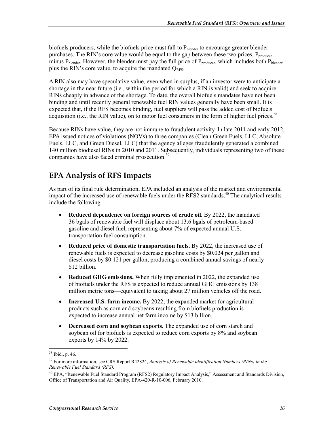biofuels producers, while the biofuels price must fall to P<sub>blender</sub> to encourage greater blender purchases. The RIN's core value would be equal to the gap between these two prices,  $P_{\text{producer}}$ minus  $P_{blender}$ . However, the blender must pay the full price of  $P_{producer}$ , which includes both  $P_{blender}$ plus the RIN's core value, to acquire the mandated  $Q_{RFS}$ .

A RIN also may have speculative value, even when in surplus, if an investor were to anticipate a shortage in the near future (i.e., within the period for which a RIN is valid) and seek to acquire RINs cheaply in advance of the shortage. To date, the overall biofuels mandates have not been binding and until recently general renewable fuel RIN values generally have been small. It is expected that, if the RFS becomes binding, fuel suppliers will pass the added cost of biofuels acquisition (i.e., the RIN value), on to motor fuel consumers in the form of higher fuel prices.<sup>38</sup>

Because RINs have value, they are not immune to fraudulent activity. In late 2011 and early 2012, EPA issued notices of violations (NOVs) to three companies (Clean Green Fuels, LLC, Absolute Fuels, LLC, and Green Diesel, LLC) that the agency alleges fraudulently generated a combined 140 million biodiesel RINs in 2010 and 2011. Subsequently, individuals representing two of these companies have also faced criminal prosecution.<sup>39</sup>

## **EPA Analysis of RFS Impacts**

As part of its final rule determination, EPA included an analysis of the market and environmental impact of the increased use of renewable fuels under the RFS2 standards.<sup>40</sup> The analytical results include the following.

- **Reduced dependence on foreign sources of crude oil.** By 2022, the mandated 36 bgals of renewable fuel will displace about 13.6 bgals of petroleum-based gasoline and diesel fuel, representing about 7% of expected annual U.S. transportation fuel consumption.
- **Reduced price of domestic transportation fuels.** By 2022, the increased use of renewable fuels is expected to decrease gasoline costs by \$0.024 per gallon and diesel costs by \$0.121 per gallon, producing a combined annual savings of nearly \$12 billion.
- **Reduced GHG emissions.** When fully implemented in 2022, the expanded use of biofuels under the RFS is expected to reduce annual GHG emissions by 138 million metric tons—equivalent to taking about 27 million vehicles off the road.
- **Increased U.S. farm income.** By 2022, the expanded market for agricultural products such as corn and soybeans resulting from biofuels production is expected to increase annual net farm income by \$13 billion.
- **Decreased corn and soybean exports.** The expanded use of corn starch and soybean oil for biofuels is expected to reduce corn exports by 8% and soybean exports by 14% by 2022.

<sup>38</sup> Ibid., p. 46.

<sup>&</sup>lt;sup>39</sup> For more information, see CRS Report R42824, *Analysis of Renewable Identification Numbers (RINs) in the Renewable Fuel Standard (RFS)*.

<sup>&</sup>lt;sup>40</sup> EPA, "Renewable Fuel Standard Program (RFS2) Regulatory Impact Analysis," Assessment and Standards Division, Office of Transportation and Air Quality, EPA-420-R-10-006, February 2010.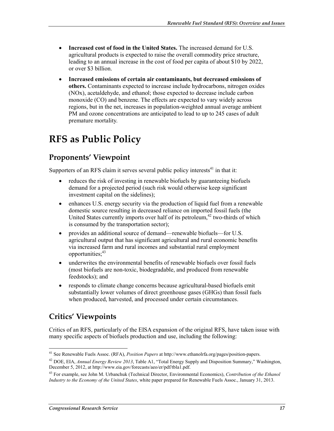- **Increased cost of food in the United States.** The increased demand for U.S. agricultural products is expected to raise the overall commodity price structure, leading to an annual increase in the cost of food per capita of about \$10 by 2022, or over \$3 billion.
- **Increased emissions of certain air contaminants, but decreased emissions of others.** Contaminants expected to increase include hydrocarbons, nitrogen oxides (NOx), acetaldehyde, and ethanol; those expected to decrease include carbon monoxide (CO) and benzene. The effects are expected to vary widely across regions, but in the net, increases in population-weighted annual average ambient PM and ozone concentrations are anticipated to lead to up to 245 cases of adult premature mortality.

# **RFS as Public Policy**

## **Proponents' Viewpoint**

Supporters of an RFS claim it serves several public policy interests $41$  in that it:

- reduces the risk of investing in renewable biofuels by guaranteeing biofuels demand for a projected period (such risk would otherwise keep significant investment capital on the sidelines);
- enhances U.S. energy security via the production of liquid fuel from a renewable domestic source resulting in decreased reliance on imported fossil fuels (the United States currently imports over half of its petroleum, $42$  two-thirds of which is consumed by the transportation sector);
- provides an additional source of demand—renewable biofuels—for U.S. agricultural output that has significant agricultural and rural economic benefits via increased farm and rural incomes and substantial rural employment opportunities;<sup>43</sup>
- underwrites the environmental benefits of renewable biofuels over fossil fuels (most biofuels are non-toxic, biodegradable, and produced from renewable feedstocks); and
- responds to climate change concerns because agricultural-based biofuels emit substantially lower volumes of direct greenhouse gases (GHGs) than fossil fuels when produced, harvested, and processed under certain circumstances.

## **Critics' Viewpoints**

Critics of an RFS, particularly of the EISA expansion of the original RFS, have taken issue with many specific aspects of biofuels production and use, including the following:

<sup>1</sup> 41 See Renewable Fuels Assoc. (RFA), *Position Papers* at http://www.ethanolrfa.org/pages/position-papers.

<sup>42</sup> DOE, EIA, *Annual Energy Review 2013*, Table A1, "Total Energy Supply and Disposition Summary," Washington, December 5, 2012, at http://www.eia.gov/forecasts/aeo/er/pdf/tbla1.pdf.

<sup>43</sup> For example, see John M. Urbanchuk (Technical Director, Environmental Economics), *Contribution of the Ethanol Industry to the Economy of the United States*, white paper prepared for Renewable Fuels Assoc., January 31, 2013.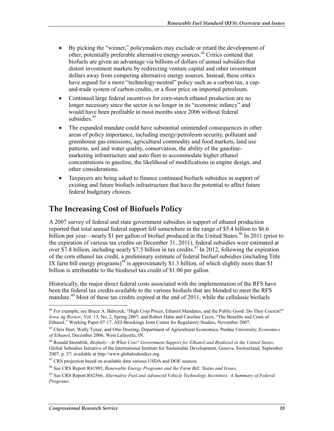- By picking the "winner," policymakers may exclude or retard the development of other, potentially preferable alternative energy sources.44 Critics contend that biofuels are given an advantage via billions of dollars of annual subsidies that distort investment markets by redirecting venture capital and other investment dollars away from competing alternative energy sources. Instead, these critics have argued for a more "technology-neutral" policy such as a carbon tax, a capand-trade system of carbon credits, or a floor price on imported petroleum.
- Continued large federal incentives for corn-starch ethanol production are no longer necessary since the sector is no longer in its "economic infancy" and would have been profitable in most months since 2006 without federal subsidies.<sup>45</sup>
- The expanded mandate could have substantial unintended consequences in other areas of policy importance, including energy/petroleum security, pollutant and greenhouse gas emissions, agricultural commodity and food markets, land use patterns, soil and water quality, conservation, the ability of the gasolinemarketing infrastructure and auto fleet to accommodate higher ethanol concentrations in gasoline, the likelihood of modifications in engine design, and other considerations.
- Taxpayers are being asked to finance continued biofuels subsidies in support of existing and future biofuels infrastructure that have the potential to affect future federal budgetary choices.

## **The Increasing Cost of Biofuels Policy**

A 2007 survey of federal and state government subsidies in support of ethanol production reported that total annual federal support fell somewhere in the range of \$5.4 billion to \$6.6 billion per year—nearly \$1 per gallon of biofuel produced in the United States.<sup>46</sup> In 2011 (prior to the expiration of various tax credits on December 31, 2011), federal subsidies were estimated at over  $\hat{S}$ 7.8 billion, including nearly \$7.5 billion in tax credits.<sup>47</sup> In 2012, following the expiration of the corn ethanol tax credit, a preliminary estimate of federal biofuel subsidies (including Title IX farm bill energy programs)<sup>48</sup> is approximately \$1.3 billion, of which slightly more than \$1 billion is attributable to the biodiesel tax credit of \$1.00 per gallon.

Historically, the major direct federal costs associated with the implementation of the RFS have been the federal tax credits available to the various biofuels that are blended to meet the RFS mandate.<sup>49</sup> Most of these tax credits expired at the end of 2011, while the cellulosic biofuels

46 Ronald Steenblik, *Biofuels—At What Cost? Government Support for Ethanol and Biodiesel in the United States*, Global Subsidies Initiative of the International Institute for Sustainable Development, Geneva, Switzerland, September 2007, p. 37; available at http://www.globalsubsidies.org.

<sup>&</sup>lt;sup>44</sup> For example, see Bruce A. Babcock, "High Crop Prices, Ethanol Mandates, and the Public Good: Do They Coexist?" *Iowa Ag Review*, Vol. 13, No. 2, Spring 2007; and Robert Hahn and Caroline Cecot, "The Benefits and Costs of Ethanol," Working Paper 07-17, AEI-Brookings Joint Center for Regulatory Studies, November 2007.

<sup>45</sup> Chris Hurt, Wally Tyner, and Otto Doering, Department of Agricultural Economics, Purdue University, *Economics of Ethanol*, December 2006, West Lafayette, IN.

 $47$  CRS projection based on available data various USDA and DOE sources.

<sup>48</sup> See CRS Report R41985, *Renewable Energy Programs and the Farm Bill: Status and Issues*.

<sup>49</sup> See CRS Report R42566, *Alternative Fuel and Advanced Vehicle Technology Incentives: A Summary of Federal Programs*.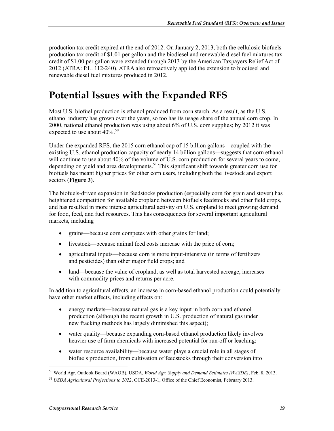production tax credit expired at the end of 2012. On January 2, 2013, both the cellulosic biofuels production tax credit of \$1.01 per gallon and the biodiesel and renewable diesel fuel mixtures tax credit of \$1.00 per gallon were extended through 2013 by the American Taxpayers Relief Act of 2012 (ATRA: P.L. 112-240). ATRA also retroactively applied the extension to biodiesel and renewable diesel fuel mixtures produced in 2012.

# **Potential Issues with the Expanded RFS**

Most U.S. biofuel production is ethanol produced from corn starch. As a result, as the U.S. ethanol industry has grown over the years, so too has its usage share of the annual corn crop. In 2000, national ethanol production was using about 6% of U.S. corn supplies; by 2012 it was expected to use about  $40\%$ .<sup>50</sup>

Under the expanded RFS, the 2015 corn ethanol cap of 15 billion gallons—coupled with the existing U.S. ethanol production capacity of nearly 14 billion gallons—suggests that corn ethanol will continue to use about 40% of the volume of U.S. corn production for several years to come, depending on yield and area developments.<sup>51</sup> This significant shift towards greater corn use for biofuels has meant higher prices for other corn users, including both the livestock and export sectors (**Figure 3**).

The biofuels-driven expansion in feedstocks production (especially corn for grain and stover) has heightened competition for available cropland between biofuels feedstocks and other field crops, and has resulted in more intense agricultural activity on U.S. cropland to meet growing demand for food, feed, and fuel resources. This has consequences for several important agricultural markets, including

- grains—because corn competes with other grains for land;
- livestock—because animal feed costs increase with the price of corn;
- agricultural inputs—because corn is more input-intensive (in terms of fertilizers and pesticides) than other major field crops; and
- land—because the value of cropland, as well as total harvested acreage, increases with commodity prices and returns per acre.

In addition to agricultural effects, an increase in corn-based ethanol production could potentially have other market effects, including effects on:

- energy markets—because natural gas is a key input in both corn and ethanol production (although the recent growth in U.S. production of natural gas under new fracking methods has largely diminished this aspect);
- water quality—because expanding corn-based ethanol production likely involves heavier use of farm chemicals with increased potential for run-off or leaching;
- water resource availability—because water plays a crucial role in all stages of biofuels production, from cultivation of feedstocks through their conversion into

1 50 World Agr. Outlook Board (WAOB), USDA, *World Agr. Supply and Demand Estimates (WASDE)*, Feb. 8, 2013.

<sup>51</sup> *USDA Agricultural Projections to 2022*, OCE-2013-1, Office of the Chief Economist, February 2013.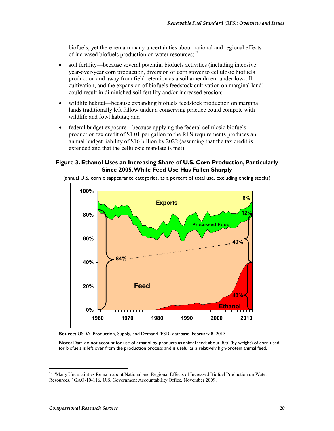biofuels, yet there remain many uncertainties about national and regional effects of increased biofuels production on water resources;<sup>52</sup>

- soil fertility—because several potential biofuels activities (including intensive year-over-year corn production, diversion of corn stover to cellulosic biofuels production and away from field retention as a soil amendment under low-till cultivation, and the expansion of biofuels feedstock cultivation on marginal land) could result in diminished soil fertility and/or increased erosion;
- wildlife habitat—because expanding biofuels feedstock production on marginal lands traditionally left fallow under a conserving practice could compete with wildlife and fowl habitat; and
- federal budget exposure—because applying the federal cellulosic biofuels production tax credit of \$1.01 per gallon to the RFS requirements produces an annual budget liability of \$16 billion by 2022 (assuming that the tax credit is extended and that the cellulosic mandate is met).

#### **Figure 3. Ethanol Uses an Increasing Share of U.S. Corn Production, Particularly Since 2005, While Feed Use Has Fallen Sharply**

(annual U.S. corn disappearance categories, as a percent of total use, excluding ending stocks)



**Source:** USDA, Production, Supply, and Demand (PSD) database, February 8, 2013.

**Note:** Data do not account for use of ethanol by-products as animal feed; about 30% (by weight) of corn used for biofuels is left over from the production process and is useful as a relatively high-protein animal feed.

 $52$  "Many Uncertainties Remain about National and Regional Effects of Increased Biofuel Production on Water Resources," GAO-10-116, U.S. Government Accountability Office, November 2009.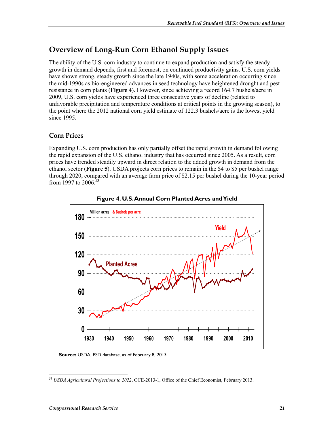## **Overview of Long-Run Corn Ethanol Supply Issues**

The ability of the U.S. corn industry to continue to expand production and satisfy the steady growth in demand depends, first and foremost, on continued productivity gains. U.S. corn yields have shown strong, steady growth since the late 1940s, with some acceleration occurring since the mid-1990s as bio-engineered advances in seed technology have heightened drought and pest resistance in corn plants (**Figure 4**). However, since achieving a record 164.7 bushels/acre in 2009, U.S. corn yields have experienced three consecutive years of decline (related to unfavorable precipitation and temperature conditions at critical points in the growing season), to the point where the 2012 national corn yield estimate of 122.3 bushels/acre is the lowest yield since 1995.

### **Corn Prices**

Expanding U.S. corn production has only partially offset the rapid growth in demand following the rapid expansion of the U.S. ethanol industry that has occurred since 2005. As a result, corn prices have trended steadily upward in direct relation to the added growth in demand from the ethanol sector (**Figure 5**). USDA projects corn prices to remain in the \$4 to \$5 per bushel range through 2020, compared with an average farm price of \$2.15 per bushel during the 10-year period from 1997 to 2006.<sup>53</sup>





**Source:** USDA, PSD database, as of February 8, 2013.

<sup>&</sup>lt;u>.</u> <sup>53</sup> *USDA Agricultural Projections to 2022*, OCE-2013-1, Office of the Chief Economist, February 2013.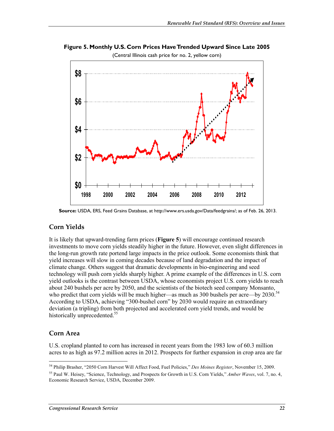(Central Illinois cash price for no. 2, yellow corn) **\$0 \$2 \$4 \$6 \$8 1998 2000 2002 2004 2006 2008 2010 2012**

**Figure 5. Monthly U.S. Corn Prices Have Trended Upward Since Late 2005** 

#### **Corn Yields**

It is likely that upward-trending farm prices (**Figure 5**) will encourage continued research investments to move corn yields steadily higher in the future. However, even slight differences in the long-run growth rate portend large impacts in the price outlook. Some economists think that yield increases will slow in coming decades because of land degradation and the impact of climate change. Others suggest that dramatic developments in bio-engineering and seed technology will push corn yields sharply higher. A prime example of the differences in U.S. corn yield outlooks is the contrast between USDA, whose economists project U.S. corn yields to reach about 240 bushels per acre by 2050, and the scientists of the biotech seed company Monsanto, who predict that corn yields will be much higher—as much as 300 bushels per acre—by 2030.<sup>54</sup> According to USDA, achieving "300-bushel corn" by 2030 would require an extraordinary deviation (a tripling) from both projected and accelerated corn yield trends, and would be historically unprecedented.<sup>55</sup>

#### **Corn Area**

1

U.S. cropland planted to corn has increased in recent years from the 1983 low of 60.3 million acres to as high as 97.2 million acres in 2012. Prospects for further expansion in crop area are far

**Source:** USDA, ERS, Feed Grains Database, at http://www.ers.usda.gov/Data/feedgrains/; as of Feb. 26, 2013.

<sup>54</sup> Philip Brasher, "2050 Corn Harvest Will Affect Food, Fuel Policies," *Des Moines Register*, November 15, 2009.

<sup>55</sup> Paul W. Heisey, "Science, Technology, and Prospects for Growth in U.S. Corn Yields," *Amber Waves*, vol. 7, no. 4, Economic Research Service, USDA, December 2009.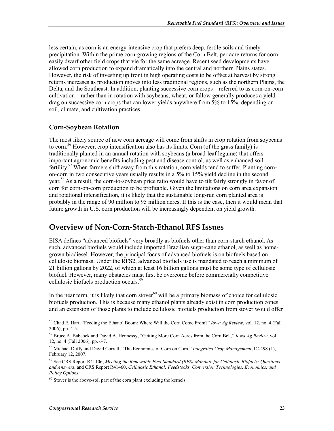less certain, as corn is an energy-intensive crop that prefers deep, fertile soils and timely precipitation. Within the prime corn-growing regions of the Corn Belt, per-acre returns for corn easily dwarf other field crops that vie for the same acreage. Recent seed developments have allowed corn production to expand dramatically into the central and northern Plains states. However, the risk of investing up front in high operating costs to be offset at harvest by strong returns increases as production moves into less traditional regions, such as the northern Plains, the Delta, and the Southeast. In addition, planting successive corn crops—referred to as corn-on-corn cultivation—rather than in rotation with soybeans, wheat, or fallow generally produces a yield drag on successive corn crops that can lower yields anywhere from 5% to 15%, depending on soil, climate, and cultivation practices.

#### **Corn-Soybean Rotation**

The most likely source of new corn acreage will come from shifts in crop rotation from soybeans to corn.<sup>56</sup> However, crop intensification also has its limits. Corn (of the grass family) is traditionally planted in an annual rotation with soybeans (a broad-leaf legume) that offers important agronomic benefits including pest and disease control, as well as enhanced soil fertility.<sup>57</sup> When farmers shift away from this rotation, corn yields tend to suffer. Planting cornon-corn in two consecutive years usually results in a  $5\%$  to  $15\%$  yield decline in the second year.<sup>58</sup> As a result, the corn-to-soybean price ratio would have to tilt fairly strongly in favor of corn for corn-on-corn production to be profitable. Given the limitations on corn area expansion and rotational intensification, it is likely that the sustainable long-run corn planted area is probably in the range of 90 million to 95 million acres. If this is the case, then it would mean that future growth in U.S. corn production will be increasingly dependent on yield growth.

## **Overview of Non-Corn-Starch-Ethanol RFS Issues**

EISA defines "advanced biofuels" very broadly as biofuels other than corn-starch ethanol. As such, advanced biofuels would include imported Brazilian sugar-cane ethanol, as well as homegrown biodiesel. However, the principal focus of advanced biofuels is on biofuels based on cellulosic biomass. Under the RFS2, advanced biofuels use is mandated to reach a minimum of 21 billion gallons by 2022, of which at least 16 billion gallons must be some type of cellulosic biofuel. However, many obstacles must first be overcome before commercially competitive cellulosic biofuels production occurs.59

In the near term, it is likely that corn stover<sup>60</sup> will be a primary biomass of choice for cellulosic biofuels production. This is because many ethanol plants already exist in corn production zones and an extension of those plants to include cellulosic biofuels production from stover would offer

<sup>56</sup> Chad E. Hart, "Feeding the Ethanol Boom: Where Will the Corn Come From?" *Iowa Ag Review*, vol. 12, no. 4 (Fall 2006), pp. 4-5.

<sup>57</sup> Bruce A. Babcock and David A. Hennessy, "Getting More Corn Acres from the Corn Belt," *Iowa Ag Review*, vol. 12, no. 4 (Fall 2006), pp. 6-7.

<sup>58</sup> Michael Duffy and David Correll, "The Economics of Corn on Corn," *Integrated Crop Management*, IC-498 (1), February 12, 2007.

<sup>59</sup> See CRS Report R41106, *Meeting the Renewable Fuel Standard (RFS) Mandate for Cellulosic Biofuels: Questions and Answers*, and CRS Report R41460, *Cellulosic Ethanol: Feedstocks, Conversion Technologies, Economics, and Policy Options*.

 $60$  Stover is the above-soil part of the corn plant excluding the kernels.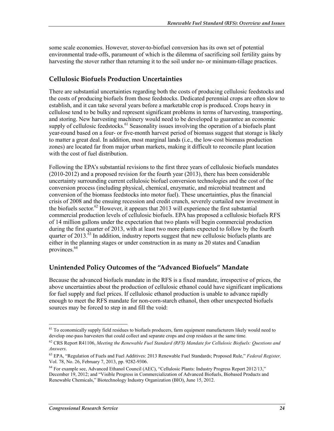some scale economies. However, stover-to-biofuel conversion has its own set of potential environmental trade-offs, paramount of which is the dilemma of sacrificing soil fertility gains by harvesting the stover rather than returning it to the soil under no- or minimum-tillage practices.

### **Cellulosic Biofuels Production Uncertainties**

There are substantial uncertainties regarding both the costs of producing cellulosic feedstocks and the costs of producing biofuels from those feedstocks. Dedicated perennial crops are often slow to establish, and it can take several years before a marketable crop is produced. Crops heavy in cellulose tend to be bulky and represent significant problems in terms of harvesting, transporting, and storing. New harvesting machinery would need to be developed to guarantee an economic supply of cellulosic feedstocks.<sup>61</sup> Seasonality issues involving the operation of a biofuels plant year-round based on a four- or five-month harvest period of biomass suggest that storage is likely to matter a great deal. In addition, most marginal lands (i.e., the low-cost biomass production zones) are located far from major urban markets, making it difficult to reconcile plant location with the cost of fuel distribution.

Following the EPA's substantial revisions to the first three years of cellulosic biofuels mandates (2010-2012) and a proposed revision for the fourth year (2013), there has been considerable uncertainty surrounding current cellulosic biofuel conversion technologies and the cost of the conversion process (including physical, chemical, enzymatic, and microbial treatment and conversion of the biomass feedstocks into motor fuel). These uncertainties, plus the financial crisis of 2008 and the ensuing recession and credit crunch, severely curtailed new investment in the biofuels sector.<sup>62</sup> However, it appears that 2013 will experience the first substantial commercial production levels of cellulosic biofuels. EPA has proposed a cellulosic biofuels RFS of 14 million gallons under the expectation that two plants will begin commercial production during the first quarter of 2013, with at least two more plants expected to follow by the fourth quarter of 2013.<sup> $63$ </sup> In addition, industry reports suggest that new cellulosic biofuels plants are either in the planning stages or under construction in as many as 20 states and Canadian provinces.<sup>64</sup>

### **Unintended Policy Outcomes of the "Advanced Biofuels" Mandate**

Because the advanced biofuels mandate in the RFS is a fixed mandate, irrespective of prices, the above uncertainties about the production of cellulosic ethanol could have significant implications for fuel supply and fuel prices. If cellulosic ethanol production is unable to advance rapidly enough to meet the RFS mandate for non-corn-starch ethanol, then other unexpected biofuels sources may be forced to step in and fill the void:

 $61$  To economically supply field residues to biofuels producers, farm equipment manufacturers likely would need to develop one-pass harvesters that could collect and separate crops and crop residues at the same time.

<sup>62</sup> CRS Report R41106, *Meeting the Renewable Fuel Standard (RFS) Mandate for Cellulosic Biofuels: Questions and Answers*.

<sup>63</sup> EPA, "Regulation of Fuels and Fuel Additives: 2013 Renewable Fuel Standards; Proposed Rule," *Federal Register,*  Vol. 78, No. 26, February 7, 2013, pp. 9282-9306.

<sup>64</sup> For example see, Advanced Ethanol Council (AEC), "Cellulosic Plants: Industry Progress Report 2012/13," December 19, 2012; and "Visible Progress in Commercialization of Advanced Biofuels, Biobased Products and Renewable Chemicals," Biotechnology Industry Organization (BIO), June 15, 2012.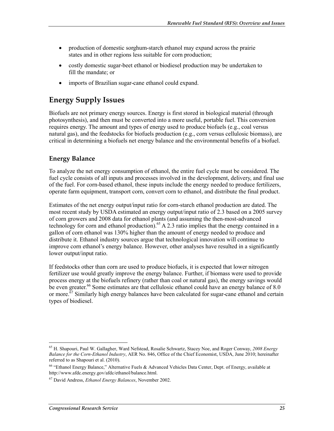- production of domestic sorghum-starch ethanol may expand across the prairie states and in other regions less suitable for corn production;
- costly domestic sugar-beet ethanol or biodiesel production may be undertaken to fill the mandate; or
- imports of Brazilian sugar-cane ethanol could expand.

## **Energy Supply Issues**

Biofuels are not primary energy sources. Energy is first stored in biological material (through photosynthesis), and then must be converted into a more useful, portable fuel. This conversion requires energy. The amount and types of energy used to produce biofuels (e.g., coal versus natural gas), and the feedstocks for biofuels production (e.g., corn versus cellulosic biomass), are critical in determining a biofuels net energy balance and the environmental benefits of a biofuel.

### **Energy Balance**

To analyze the net energy consumption of ethanol, the entire fuel cycle must be considered. The fuel cycle consists of all inputs and processes involved in the development, delivery, and final use of the fuel. For corn-based ethanol, these inputs include the energy needed to produce fertilizers, operate farm equipment, transport corn, convert corn to ethanol, and distribute the final product.

Estimates of the net energy output/input ratio for corn-starch ethanol production are dated. The most recent study by USDA estimated an energy output/input ratio of 2.3 based on a 2005 survey of corn growers and 2008 data for ethanol plants (and assuming the then-most-advanced technology for corn and ethanol production).<sup>65</sup> A 2.3 ratio implies that the energy contained in a gallon of corn ethanol was 130% higher than the amount of energy needed to produce and distribute it. Ethanol industry sources argue that technological innovation will continue to improve corn ethanol's energy balance. However, other analyses have resulted in a significantly lower output/input ratio.

If feedstocks other than corn are used to produce biofuels, it is expected that lower nitrogen fertilizer use would greatly improve the energy balance. Further, if biomass were used to provide process energy at the biofuels refinery (rather than coal or natural gas), the energy savings would be even greater.<sup>66</sup> Some estimates are that cellulosic ethanol could have an energy balance of 8.0 or more.<sup> $\overline{67}$ </sup> Similarly high energy balances have been calculated for sugar-cane ethanol and certain types of biodiesel.

<sup>1</sup> 65 H. Shapouri, Paul W. Gallagher, Ward Nefstead, Rosalie Schwartz, Stacey Noe, and Roger Conway, *2008 Energy Balance for the Corn-Ethanol Industry*, AER No. 846, Office of the Chief Economist, USDA, June 2010; hereinafter referred to as Shapouri et al. (2010).

<sup>66 &</sup>quot;Ethanol Energy Balance," Alternative Fuels & Advanced Vehicles Data Center, Dept. of Energy, available at http://www.afdc.energy.gov/afdc/ethanol/balance.html.

<sup>67</sup> David Andress, *Ethanol Energy Balances*, November 2002.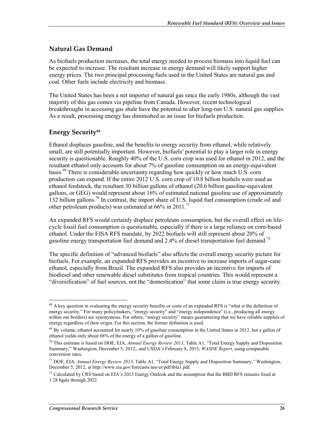#### **Natural Gas Demand**

As biofuels production increases, the total energy needed to process biomass into liquid fuel can be expected to increase. The resultant increase in energy demand will likely support higher energy prices. The two principal processing fuels used in the United States are natural gas and coal. Other fuels include electricity and biomass.

The United States has been a net importer of natural gas since the early 1980s, although the vast majority of this gas comes via pipeline from Canada. However, recent technological breakthroughs in accessing gas shale have the potential to alter long-run U.S. natural gas supplies. As a result, processing energy has diminished as an issue for biofuels production.

### **Energy Security68**

Ethanol displaces gasoline, and the benefits to energy security from ethanol, while relatively small, are still potentially important. However, biofuels' potential to play a larger role in energy security is questionable. Roughly 40% of the U.S. corn crop was used for ethanol in 2012, and the resultant ethanol only accounts for about 7% of gasoline consumption on an energy-equivalent basis.<sup>69</sup> There is considerable uncertainty regarding how quickly or how much U.S. corn production can expand. If the entire 2012 U.S. corn crop of 10.8 billion bushels were used as ethanol feedstock, the resultant 30 billion gallons of ethanol (20.6 billion gasoline-equivalent gallons, or GEG) would represent about 16% of estimated national gasoline use of approximately 132 billion gallons.<sup>70</sup> In contrast, the import share of U.S. liquid fuel consumption (crude oil and other petroleum products) was estimated at  $66\%$  in 2011.<sup>71</sup>

An expanded RFS would certainly displace petroleum consumption, but the overall effect on lifecycle fossil fuel consumption is questionable, especially if there is a large reliance on corn-based ethanol. Under the EISA RFS mandate, by 2022 biofuels will still represent about 20% of gasoline energy transportation fuel demand and 2.4% of diesel transportation fuel demand.<sup>72</sup>

The specific definition of "advanced biofuels" also affects the overall energy security picture for biofuels. For example, an expanded RFS provides an incentive to increase imports of sugar-cane ethanol, especially from Brazil. The expanded RFS also provides an incentive for imports of biodiesel and other renewable diesel substitutes from tropical countries. This would represent a "diversification" of fuel sources, not the "domestication" that some claim is true energy security.

<sup>&</sup>lt;u>.</u>  $68$  A key question in evaluating the energy security benefits or costs of an expanded RFS is "what is the definition of energy security." For many policymakers, "energy security" and "energy independence" (i.e., producing all energy within our borders) are synonymous. For others, "energy security" means guaranteeing that we have reliable supplies of energy regardless of their origin. For this section, the former definition is used.

 $69$  By volume, ethanol accounted for nearly 10% of gasoline consumption in the United States in 2012, but a gallon of ethanol yields only about 68% of the energy of a gallon of gasoline.

<sup>70</sup> This estimate is based on DOE, EIA, *Annual Energy Review 2013*, Table A1, "Total Energy Supply and Disposition Summary," Washington, December 5, 2012,, and USDA's February 8, 2013, *WASDE Report*, using comparable conversion rates.

<sup>71</sup> DOE, EIA, *Annual Energy Review 2013*, Table A1, "Total Energy Supply and Disposition Summary," Washington, December 5, 2012, at http://www.eia.gov/forecasts/aeo/er/pdf/tbla1.pdf.

 $^{72}$  Calculated by CRS based on EIA's 2013 Energy Outlook and the assumption that the BBD RFS remains fixed at 1.28 bgals through 2022.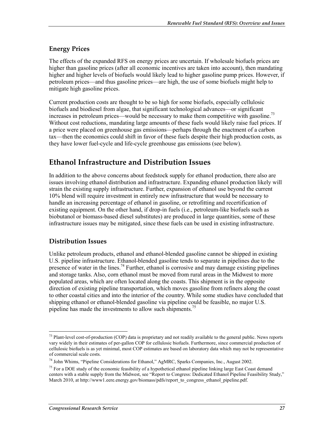#### **Energy Prices**

The effects of the expanded RFS on energy prices are uncertain. If wholesale biofuels prices are higher than gasoline prices (after all economic incentives are taken into account), then mandating higher and higher levels of biofuels would likely lead to higher gasoline pump prices. However, if petroleum prices—and thus gasoline prices—are high, the use of some biofuels might help to mitigate high gasoline prices.

Current production costs are thought to be so high for some biofuels, especially cellulosic biofuels and biodiesel from algae, that significant technological advances—or significant increases in petroleum prices—would be necessary to make them competitive with gasoline.<sup>73</sup> Without cost reductions, mandating large amounts of these fuels would likely raise fuel prices. If a price were placed on greenhouse gas emissions—perhaps through the enactment of a carbon tax—then the economics could shift in favor of these fuels despite their high production costs, as they have lower fuel-cycle and life-cycle greenhouse gas emissions (see below).

## **Ethanol Infrastructure and Distribution Issues**

In addition to the above concerns about feedstock supply for ethanol production, there also are issues involving ethanol distribution and infrastructure. Expanding ethanol production likely will strain the existing supply infrastructure. Further, expansion of ethanol use beyond the current 10% blend will require investment in entirely new infrastructure that would be necessary to handle an increasing percentage of ethanol in gasoline, or retrofitting and recertification of existing equipment. On the other hand, if drop-in fuels (i.e., petroleum-like biofuels such as biobutanol or biomass-based diesel substitutes) are produced in large quantities, some of these infrastructure issues may be mitigated, since these fuels can be used in existing infrastructure.

### **Distribution Issues**

1

Unlike petroleum products, ethanol and ethanol-blended gasoline cannot be shipped in existing U.S. pipeline infrastructure. Ethanol-blended gasoline tends to separate in pipelines due to the presence of water in the lines.<sup>74</sup> Further, ethanol is corrosive and may damage existing pipelines and storage tanks. Also, corn ethanol must be moved from rural areas in the Midwest to more populated areas, which are often located along the coasts. This shipment is in the opposite direction of existing pipeline transportation, which moves gasoline from refiners along the coast to other coastal cities and into the interior of the country. While some studies have concluded that shipping ethanol or ethanol-blended gasoline via pipeline could be feasible, no major U.S. pipeline has made the investments to allow such shipments.<sup>75</sup>

<sup>&</sup>lt;sup>73</sup> Plant-level cost-of-production (COP) data is proprietary and not readily available to the general public. News reports vary widely in their estimates of per-gallon COP for cellulosic biofuels. Furthermore, since commercial production of cellulosic biofuels is as yet minimal, most COP estimates are based on laboratory data which may not be representative of commercial scale costs.

<sup>74</sup> John Whims, "Pipeline Considerations for Ethanol," AgMRC, Sparks Companies, Inc., August 2002.

<sup>&</sup>lt;sup>75</sup> For a DOE study of the economic feasibility of a hypothetical ethanol pipeline linking large East Coast demand centers with a stable supply from the Midwest, see "Report to Congress: Dedicated Ethanol Pipeline Feasibility Study," March 2010, at http://www1.eere.energy.gov/biomass/pdfs/report\_to\_congress\_ethanol\_pipeline.pdf.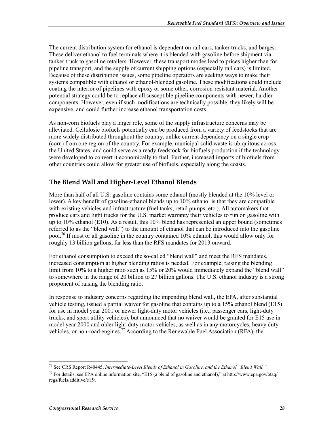The current distribution system for ethanol is dependent on rail cars, tanker trucks, and barges. These deliver ethanol to fuel terminals where it is blended with gasoline before shipment via tanker truck to gasoline retailers. However, these transport modes lead to prices higher than for pipeline transport, and the supply of current shipping options (especially rail cars) is limited. Because of these distribution issues, some pipeline operators are seeking ways to make their systems compatible with ethanol or ethanol-blended gasoline. These modifications could include coating the interior of pipelines with epoxy or some other, corrosion-resistant material. Another potential strategy could be to replace all susceptible pipeline components with newer, hardier components. However, even if such modifications are technically possible, they likely will be expensive, and could further increase ethanol transportation costs.

As non-corn biofuels play a larger role, some of the supply infrastructure concerns may be alleviated. Cellulosic biofuels potentially can be produced from a variety of feedstocks that are more widely distributed throughout the country, unlike current dependency on a single crop (corn) from one region of the country. For example, municipal solid waste is ubiquitous across the United States, and could serve as a ready feedstock for biofuels production if the technology were developed to convert it economically to fuel. Further, increased imports of biofuels from other countries could allow for greater use of biofuels, especially along the coasts.

### **The Blend Wall and Higher-Level Ethanol Blends**

More than half of all U.S. gasoline contains some ethanol (mostly blended at the 10% level or lower). A key benefit of gasoline-ethanol blends up to 10% ethanol is that they are compatible with existing vehicles and infrastructure (fuel tanks, retail pumps, etc.). All automakers that produce cars and light trucks for the U.S. market warranty their vehicles to run on gasoline with up to 10% ethanol (E10). As a result, this 10% blend has represented an upper bound (sometimes referred to as the "blend wall") to the amount of ethanol that can be introduced into the gasoline pool.76 If most or all gasoline in the country contained 10% ethanol, this would allow only for roughly 13 billion gallons, far less than the RFS mandates for 2013 onward.

For ethanol consumption to exceed the so-called "blend wall" and meet the RFS mandates, increased consumption at higher blending ratios is needed. For example, raising the blending limit from 10% to a higher ratio such as 15% or 20% would immediately expand the "blend wall" to somewhere in the range of 20 billion to 27 billion gallons. The U.S. ethanol industry is a strong proponent of raising the blending ratio.

In response to industry concerns regarding the impending blend wall, the EPA, after substantial vehicle testing, issued a partial waiver for gasoline that contains up to a 15% ethanol blend (E15) for use in model year 2001 or newer light-duty motor vehicles (i.e., passenger cars, light-duty trucks, and sport utility vehicles), but announced that no waiver would be granted for E15 use in model year 2000 and older light-duty motor vehicles, as well as in any motorcycles, heavy duty vehicles, or non-road engines.<sup>77</sup> According to the Renewable Fuel Association (RFA), the

<sup>76</sup> See CRS Report R40445, *Intermediate-Level Blends of Ethanol in Gasoline, and the Ethanol "Blend Wall."*

 $^{77}$  For details, see EPA online information site, "E15 (a blend of gasoline and ethanol)," at http://www.epa.gov/otaq/ regs/fuels/additive/e15/.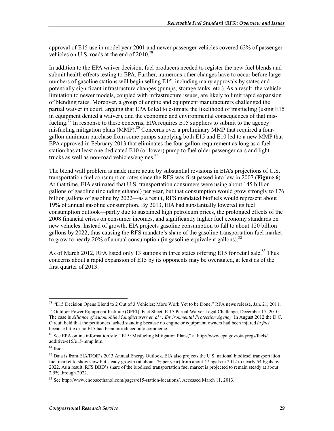approval of E15 use in model year 2001 and newer passenger vehicles covered 62% of passenger vehicles on U.S. roads at the end of 2010.<sup>78</sup>

In addition to the EPA waiver decision, fuel producers needed to register the new fuel blends and submit health effects testing to EPA. Further, numerous other changes have to occur before large numbers of gasoline stations will begin selling E15, including many approvals by states and potentially significant infrastructure changes (pumps, storage tanks, etc.). As a result, the vehicle limitation to newer models, coupled with infrastructure issues, are likely to limit rapid expansion of blending rates. Moreover, a group of engine and equipment manufacturers challenged the partial waiver in court, arguing that EPA failed to estimate the likelihood of misfueling (using E15 in equipment denied a waiver), and the economic and environmental consequences of that misfueling.<sup>79</sup> In response to these concerns, EPA requires E15 suppliers to submit to the agency misfueling mitigation plans (MMP).<sup>80</sup> Concerns over a preliminary MMP that required a fourgallon minimum purchase from some pumps supplying both E15 and E10 led to a new MMP that EPA approved in February 2013 that eliminates the four-gallon requirement as long as a fuel station has at least one dedicated E10 (or lower) pump to fuel older passenger cars and light trucks as well as non-road vehicles/engines. $81$ 

The blend wall problem is made more acute by substantial revisions in EIA's projections of U.S. transportation fuel consumption rates since the RFS was first passed into law in 2007 (**Figure 6**). At that time, EIA estimated that U.S. transportation consumers were using about 145 billion gallons of gasoline (including ethanol) per year, but that consumption would grow strongly to 176 billion gallons of gasoline by 2022—as a result, RFS mandated biofuels would represent about 19% of annual gasoline consumption. By 2013, EIA had substantially lowered its fuel consumption outlook—partly due to sustained high petroleum prices, the prolonged effects of the 2008 financial crises on consumer incomes, and significantly higher fuel economy standards on new vehicles. Instead of growth, EIA projects gasoline consumption to fall to about 120 billion gallons by 2022, thus causing the RFS mandate's share of the gasoline transportation fuel market to grow to nearly 20% of annual consumption (in gasoline-equivalent gallons).<sup>82</sup>

As of March 2012, RFA listed only 13 stations in three states offering E15 for retail sale.<sup>83</sup> Thus concerns about a rapid expansion of E15 by its opponents may be overstated, at least as of the first quarter of 2013.

<u>.</u>

 $^{78}$  "E15 Decision Opens Blend to 2 Out of 3 Vehicles; More Work Yet to be Done," RFA news release, Jan. 21, 2011.

<sup>&</sup>lt;sup>79</sup> Outdoor Power Equipment Institute (OPEI), Fact Sheet: E-15 Partial Waiver Legal Challenge, December 17, 2010. The case is *Alliance of Automobile Manufacturers et. al v. Environmental Protection Agency*. In August 2012 the D.C. Circuit held that the petitioners lacked standing because no engine or equipment owners had been injured *in fact* because little or no E15 had been introduced into commerce.

<sup>80</sup> See EPA online information site, "E15: Misfueling Mitigation Plans," at http://www.epa.gov/otaq/regs/fuels/ additive/e15/e15-mmp.htm.

 $81$  Ibid.

 $82$  Data is from EIA/DOE's 2013 Annual Energy Outlook. EIA also projects the U.S. national biodiesel transportation fuel market to show slow but steady growth (at about 1% per year) from about 47 bgals in 2012 to nearly 54 bgals by 2022. As a result, RFS BBD's share of the biodiesel transportation fuel market is projected to remain steady at about 2.5% through 2022.

<sup>83</sup> See http://www.chooseethanol.com/pages/e15-station-locations/. Accessed March 11, 2013.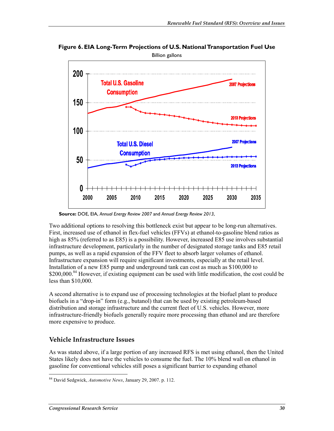

**Figure 6. EIA Long-Term Projections of U.S. National Transportation Fuel Use** 

**Source:** DOE, EIA, *Annual Energy Review 2007* and *Annual Energy Review 2013*,

Two additional options to resolving this bottleneck exist but appear to be long-run alternatives. First, increased use of ethanol in flex-fuel vehicles (FFVs) at ethanol-to-gasoline blend ratios as high as 85% (referred to as E85) is a possibility. However, increased E85 use involves substantial infrastructure development, particularly in the number of designated storage tanks and E85 retail pumps, as well as a rapid expansion of the FFV fleet to absorb larger volumes of ethanol. Infrastructure expansion will require significant investments, especially at the retail level. Installation of a new E85 pump and underground tank can cost as much as \$100,000 to \$200,000.<sup>84</sup> However, if existing equipment can be used with little modification, the cost could be less than \$10,000.

A second alternative is to expand use of processing technologies at the biofuel plant to produce biofuels in a "drop-in" form (e.g., butanol) that can be used by existing petroleum-based distribution and storage infrastructure and the current fleet of U.S. vehicles. However, more infrastructure-friendly biofuels generally require more processing than ethanol and are therefore more expensive to produce.

### **Vehicle Infrastructure Issues**

As was stated above, if a large portion of any increased RFS is met using ethanol, then the United States likely does not have the vehicles to consume the fuel. The 10% blend wall on ethanol in gasoline for conventional vehicles still poses a significant barrier to expanding ethanol

<sup>&</sup>lt;u>.</u> 84 David Sedgwick, *Automotive News*, January 29, 2007. p. 112.